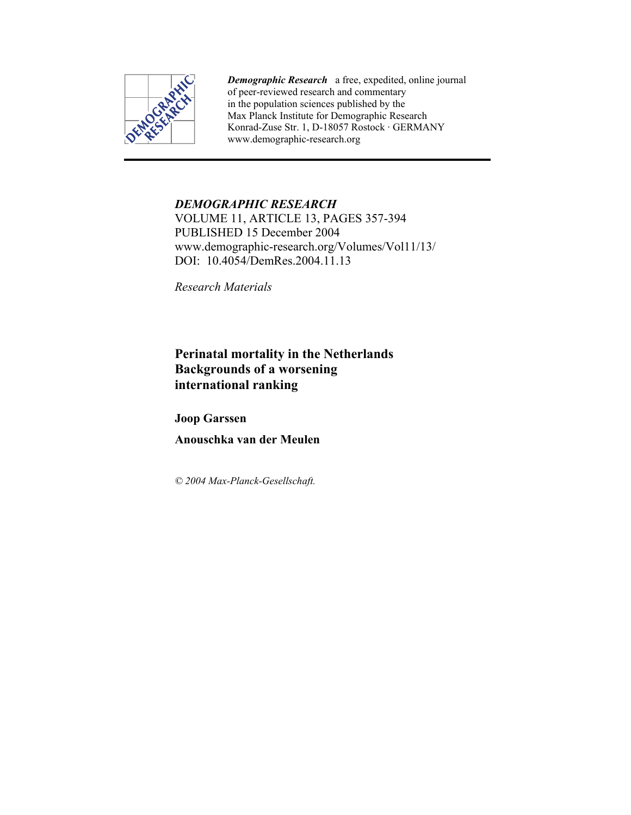

*Demographic Research* a free, expedited, online journal of peer-reviewed research and commentary in the population sciences published by the Max Planck Institute for Demographic Research Konrad-Zuse Str. 1, D-18057 Rostock · GERMANY www.demographic-research.org

# *DEMOGRAPHIC RESEARCH*

VOLUME 11, ARTICLE 13, PAGES 357-394 PUBLISHED 15 December 2004 www.demographic-research.org/Volumes/Vol11/13/ DOI: 10.4054/DemRes. 2004. 11.13

*Research Materials* 

**Perinatal mortality in the Netherlands Backgrounds of a worsening international ranking** 

**Joop Garssen** 

**Anouschka van der Meulen** 

*© 2004 Max-Planck-Gesellschaft.*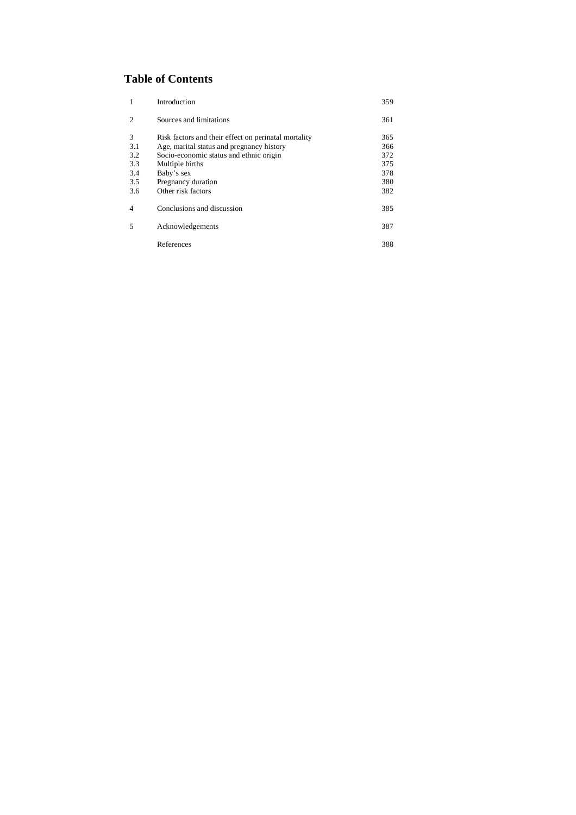# **Table of Contents**

| 1              | Introduction                                         | 359 |
|----------------|------------------------------------------------------|-----|
| $\overline{2}$ | Sources and limitations                              | 361 |
| 3              | Risk factors and their effect on perinatal mortality | 365 |
| 3.1            | Age, marital status and pregnancy history            | 366 |
| 3.2            | Socio-economic status and ethnic origin              | 372 |
| 3.3            | Multiple births                                      | 375 |
| 3.4            | Baby's sex                                           | 378 |
| 3.5            | Pregnancy duration                                   | 380 |
| 3.6            | Other risk factors                                   | 382 |
| $\overline{4}$ | Conclusions and discussion                           | 385 |
| 5              | Acknowledgements                                     | 387 |
|                | References                                           | 388 |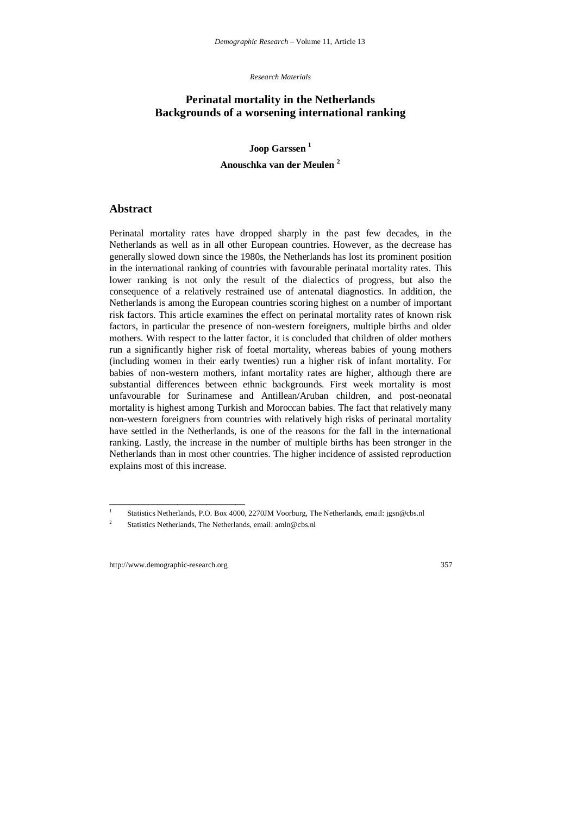*Research Materials* 

## **Perinatal mortality in the Netherlands Backgrounds of a worsening international ranking**

**Joop Garssen <sup>1</sup>**

### **Anouschka van der Meulen <sup>2</sup>**

### **Abstract**

Perinatal mortality rates have dropped sharply in the past few decades, in the Netherlands as well as in all other European countries. However, as the decrease has generally slowed down since the 1980s, the Netherlands has lost its prominent position in the international ranking of countries with favourable perinatal mortality rates. This lower ranking is not only the result of the dialectics of progress, but also the consequence of a relatively restrained use of antenatal diagnostics. In addition, the Netherlands is among the European countries scoring highest on a number of important risk factors. This article examines the effect on perinatal mortality rates of known risk factors, in particular the presence of non-western foreigners, multiple births and older mothers. With respect to the latter factor, it is concluded that children of older mothers run a significantly higher risk of foetal mortality, whereas babies of young mothers (including women in their early twenties) run a higher risk of infant mortality. For babies of non-western mothers, infant mortality rates are higher, although there are substantial differences between ethnic backgrounds. First week mortality is most unfavourable for Surinamese and Antillean/Aruban children, and post-neonatal mortality is highest among Turkish and Moroccan babies. The fact that relatively many non-western foreigners from countries with relatively high risks of perinatal mortality have settled in the Netherlands, is one of the reasons for the fall in the international ranking. Lastly, the increase in the number of multiple births has been stronger in the Netherlands than in most other countries. The higher incidence of assisted reproduction explains most of this increase.

\_\_\_\_\_\_\_\_\_\_\_\_\_\_\_\_\_\_\_\_\_\_\_\_\_\_\_\_

<sup>1</sup> Statistics Netherlands, P.O. Box 4000, 2270JM Voorburg, The Netherlands, email: jgsn@cbs.nl

 $\overline{2}$ Statistics Netherlands, The Netherlands, email: amln@cbs.nl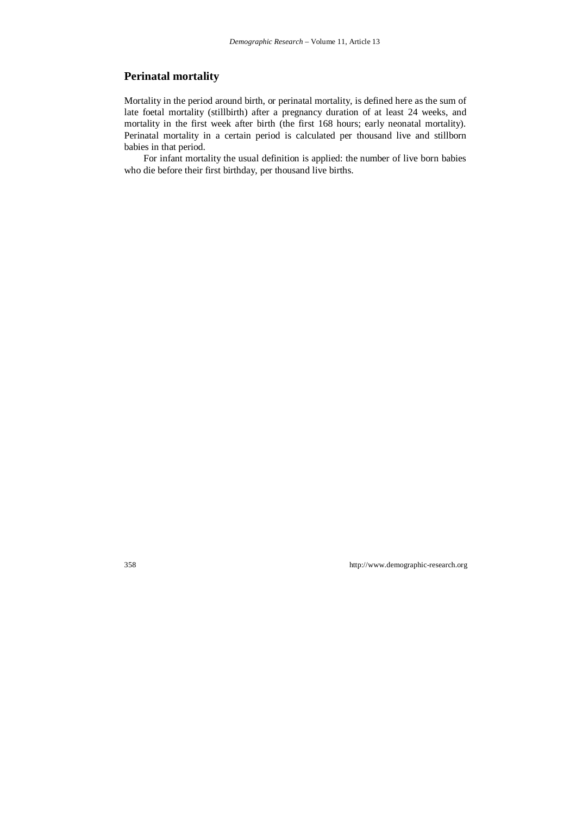# **Perinatal mortality**

Mortality in the period around birth, or perinatal mortality, is defined here as the sum of late foetal mortality (stillbirth) after a pregnancy duration of at least 24 weeks, and mortality in the first week after birth (the first 168 hours; early neonatal mortality). Perinatal mortality in a certain period is calculated per thousand live and stillborn babies in that period.

For infant mortality the usual definition is applied: the number of live born babies who die before their first birthday, per thousand live births.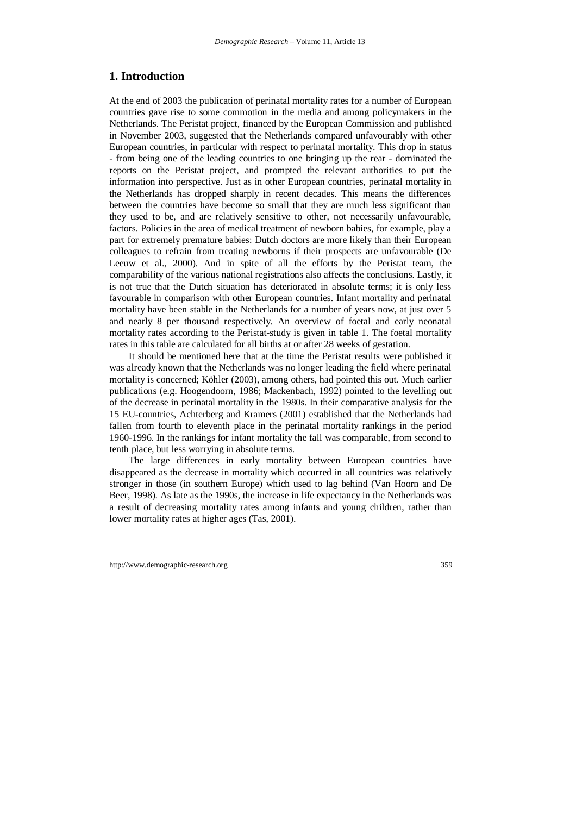## **1. Introduction**

At the end of 2003 the publication of perinatal mortality rates for a number of European countries gave rise to some commotion in the media and among policymakers in the Netherlands. The Peristat project, financed by the European Commission and published in November 2003, suggested that the Netherlands compared unfavourably with other European countries, in particular with respect to perinatal mortality. This drop in status - from being one of the leading countries to one bringing up the rear - dominated the reports on the Peristat project, and prompted the relevant authorities to put the information into perspective. Just as in other European countries, perinatal mortality in the Netherlands has dropped sharply in recent decades. This means the differences between the countries have become so small that they are much less significant than they used to be, and are relatively sensitive to other, not necessarily unfavourable, factors. Policies in the area of medical treatment of newborn babies, for example, play a part for extremely premature babies: Dutch doctors are more likely than their European colleagues to refrain from treating newborns if their prospects are unfavourable (De Leeuw et al., 2000). And in spite of all the efforts by the Peristat team, the comparability of the various national registrations also affects the conclusions. Lastly, it is not true that the Dutch situation has deteriorated in absolute terms; it is only less favourable in comparison with other European countries. Infant mortality and perinatal mortality have been stable in the Netherlands for a number of years now, at just over 5 and nearly 8 per thousand respectively. An overview of foetal and early neonatal mortality rates according to the Peristat-study is given in table 1. The foetal mortality rates in this table are calculated for all births at or after 28 weeks of gestation.

It should be mentioned here that at the time the Peristat results were published it was already known that the Netherlands was no longer leading the field where perinatal mortality is concerned; Köhler (2003), among others, had pointed this out. Much earlier publications (e.g. Hoogendoorn, 1986; Mackenbach, 1992) pointed to the levelling out of the decrease in perinatal mortality in the 1980s. In their comparative analysis for the 15 EU-countries, Achterberg and Kramers (2001) established that the Netherlands had fallen from fourth to eleventh place in the perinatal mortality rankings in the period 1960-1996. In the rankings for infant mortality the fall was comparable, from second to tenth place, but less worrying in absolute terms.

The large differences in early mortality between European countries have disappeared as the decrease in mortality which occurred in all countries was relatively stronger in those (in southern Europe) which used to lag behind (Van Hoorn and De Beer, 1998). As late as the 1990s, the increase in life expectancy in the Netherlands was a result of decreasing mortality rates among infants and young children, rather than lower mortality rates at higher ages (Tas, 2001).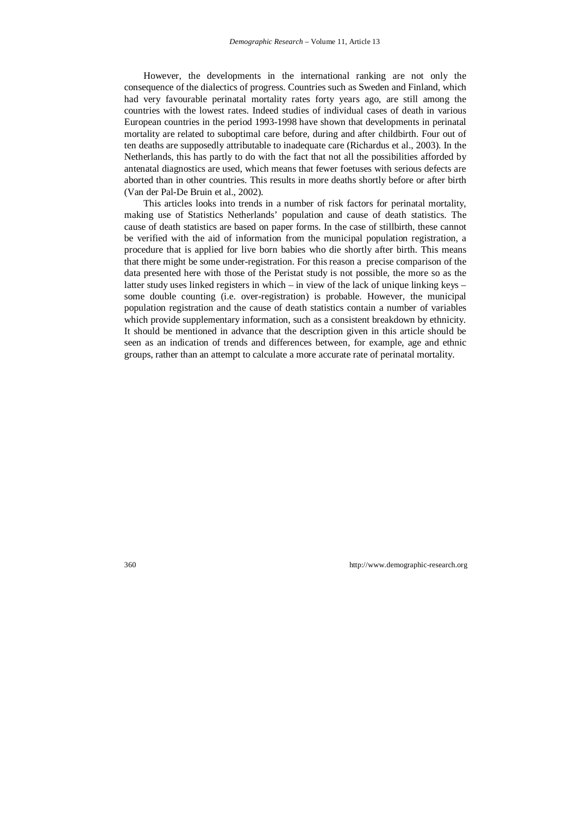However, the developments in the international ranking are not only the consequence of the dialectics of progress. Countries such as Sweden and Finland, which had very favourable perinatal mortality rates forty years ago, are still among the countries with the lowest rates. Indeed studies of individual cases of death in various European countries in the period 1993-1998 have shown that developments in perinatal mortality are related to suboptimal care before, during and after childbirth. Four out of ten deaths are supposedly attributable to inadequate care (Richardus et al., 2003). In the Netherlands, this has partly to do with the fact that not all the possibilities afforded by antenatal diagnostics are used, which means that fewer foetuses with serious defects are aborted than in other countries. This results in more deaths shortly before or after birth (Van der Pal-De Bruin et al., 2002).

This articles looks into trends in a number of risk factors for perinatal mortality, making use of Statistics Netherlands' population and cause of death statistics. The cause of death statistics are based on paper forms. In the case of stillbirth, these cannot be verified with the aid of information from the municipal population registration, a procedure that is applied for live born babies who die shortly after birth. This means that there might be some under-registration. For this reason a precise comparison of the data presented here with those of the Peristat study is not possible, the more so as the latter study uses linked registers in which – in view of the lack of unique linking keys – some double counting (i.e. over-registration) is probable. However, the municipal population registration and the cause of death statistics contain a number of variables which provide supplementary information, such as a consistent breakdown by ethnicity. It should be mentioned in advance that the description given in this article should be seen as an indication of trends and differences between, for example, age and ethnic groups, rather than an attempt to calculate a more accurate rate of perinatal mortality.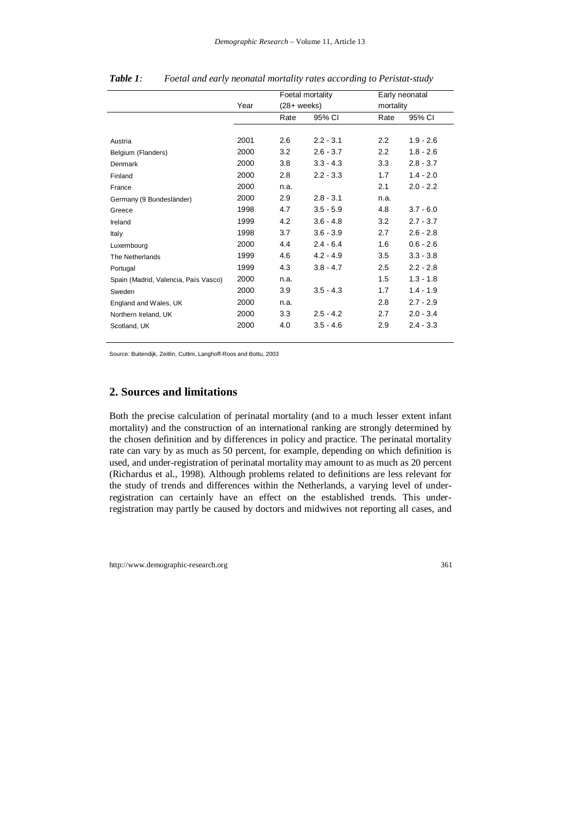|                                      |      | Foetal mortality<br>$(28 + \text{ weeks})$ |             | Early neonatal<br>mortality |             |
|--------------------------------------|------|--------------------------------------------|-------------|-----------------------------|-------------|
|                                      | Year |                                            |             |                             |             |
|                                      |      | Rate                                       | 95% CI      | Rate                        | 95% CI      |
|                                      |      |                                            |             |                             |             |
| Austria                              | 2001 | 2.6                                        | $2.2 - 3.1$ | 2.2                         | $1.9 - 2.6$ |
| Belgium (Flanders)                   | 2000 | 3.2                                        | $2.6 - 3.7$ | 2.2                         | $1.8 - 2.6$ |
| Denmark                              | 2000 | 3.8                                        | $3.3 - 4.3$ | 3.3                         | $2.8 - 3.7$ |
| Finland                              | 2000 | 2.8                                        | $2.2 - 3.3$ | 1.7                         | $1.4 - 2.0$ |
| France                               | 2000 | n.a.                                       |             | 2.1                         | $2.0 - 2.2$ |
| Germany (9 Bundesländer)             | 2000 | 2.9                                        | $2.8 - 3.1$ | n.a.                        |             |
| Greece                               | 1998 | 4.7                                        | $3.5 - 5.9$ | 4.8                         | $3.7 - 6.0$ |
| Ireland                              | 1999 | 4.2                                        | $3.6 - 4.8$ | 3.2                         | $2.7 - 3.7$ |
| Italy                                | 1998 | 3.7                                        | $3.6 - 3.9$ | 2.7                         | $2.6 - 2.8$ |
| Luxembourg                           | 2000 | 4.4                                        | $2.4 - 6.4$ | 1.6                         | $0.6 - 2.6$ |
| The Netherlands                      | 1999 | 4.6                                        | $4.2 - 4.9$ | 3.5                         | $3.3 - 3.8$ |
| Portugal                             | 1999 | 4.3                                        | $3.8 - 4.7$ | 2.5                         | $2.2 - 2.8$ |
| Spain (Madrid, Valencia, País Vasco) | 2000 | n.a.                                       |             | 1.5                         | $1.3 - 1.8$ |
| Sweden                               | 2000 | 3.9                                        | $3.5 - 4.3$ | 1.7                         | $1.4 - 1.9$ |
| England and Wales, UK                | 2000 | n.a.                                       |             | 2.8                         | $2.7 - 2.9$ |
| Northern Ireland, UK                 | 2000 | 3.3                                        | $2.5 - 4.2$ | 2.7                         | $2.0 - 3.4$ |
| Scotland, UK                         | 2000 | 4.0                                        | $3.5 - 4.6$ | 2.9                         | $2.4 - 3.3$ |

| Table 1: |  | Foetal and early neonatal mortality rates according to Peristat-study |  |  |
|----------|--|-----------------------------------------------------------------------|--|--|
|----------|--|-----------------------------------------------------------------------|--|--|

Source: Buitendijk, Zeitlin, Cuttini, Langhoff-Roos and Bottu, 2003

# **2. Sources and limitations**

Both the precise calculation of perinatal mortality (and to a much lesser extent infant mortality) and the construction of an international ranking are strongly determined by the chosen definition and by differences in policy and practice. The perinatal mortality rate can vary by as much as 50 percent, for example, depending on which definition is used, and under-registration of perinatal mortality may amount to as much as 20 percent (Richardus et al., 1998). Although problems related to definitions are less relevant for the study of trends and differences within the Netherlands, a varying level of underregistration can certainly have an effect on the established trends. This underregistration may partly be caused by doctors and midwives not reporting all cases, and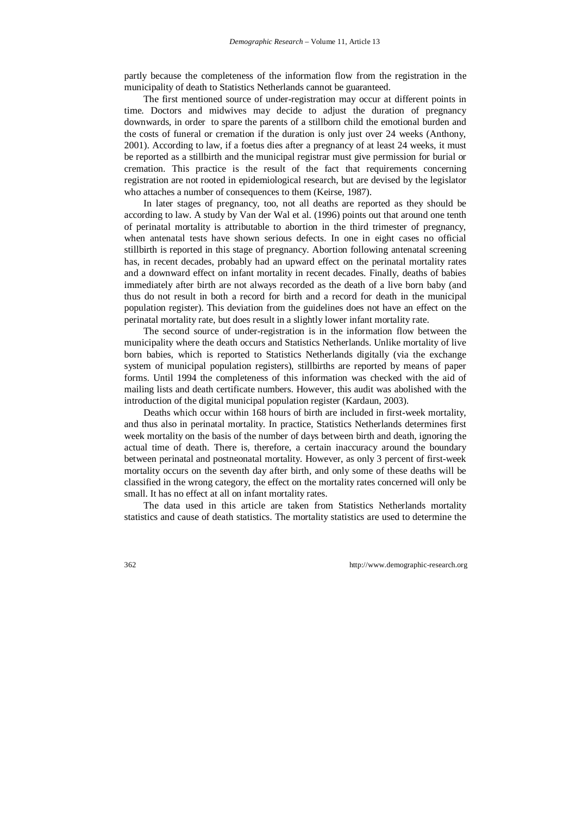partly because the completeness of the information flow from the registration in the municipality of death to Statistics Netherlands cannot be guaranteed.

The first mentioned source of under-registration may occur at different points in time. Doctors and midwives may decide to adjust the duration of pregnancy downwards, in order to spare the parents of a stillborn child the emotional burden and the costs of funeral or cremation if the duration is only just over 24 weeks (Anthony, 2001). According to law, if a foetus dies after a pregnancy of at least 24 weeks, it must be reported as a stillbirth and the municipal registrar must give permission for burial or cremation. This practice is the result of the fact that requirements concerning registration are not rooted in epidemiological research, but are devised by the legislator who attaches a number of consequences to them (Keirse, 1987).

In later stages of pregnancy, too, not all deaths are reported as they should be according to law. A study by Van der Wal et al. (1996) points out that around one tenth of perinatal mortality is attributable to abortion in the third trimester of pregnancy, when antenatal tests have shown serious defects. In one in eight cases no official stillbirth is reported in this stage of pregnancy. Abortion following antenatal screening has, in recent decades, probably had an upward effect on the perinatal mortality rates and a downward effect on infant mortality in recent decades. Finally, deaths of babies immediately after birth are not always recorded as the death of a live born baby (and thus do not result in both a record for birth and a record for death in the municipal population register). This deviation from the guidelines does not have an effect on the perinatal mortality rate, but does result in a slightly lower infant mortality rate.

The second source of under-registration is in the information flow between the municipality where the death occurs and Statistics Netherlands. Unlike mortality of live born babies, which is reported to Statistics Netherlands digitally (via the exchange system of municipal population registers), stillbirths are reported by means of paper forms. Until 1994 the completeness of this information was checked with the aid of mailing lists and death certificate numbers. However, this audit was abolished with the introduction of the digital municipal population register (Kardaun, 2003).

Deaths which occur within 168 hours of birth are included in first-week mortality, and thus also in perinatal mortality. In practice, Statistics Netherlands determines first week mortality on the basis of the number of days between birth and death, ignoring the actual time of death. There is, therefore, a certain inaccuracy around the boundary between perinatal and postneonatal mortality. However, as only 3 percent of first-week mortality occurs on the seventh day after birth, and only some of these deaths will be classified in the wrong category, the effect on the mortality rates concerned will only be small. It has no effect at all on infant mortality rates.

The data used in this article are taken from Statistics Netherlands mortality statistics and cause of death statistics. The mortality statistics are used to determine the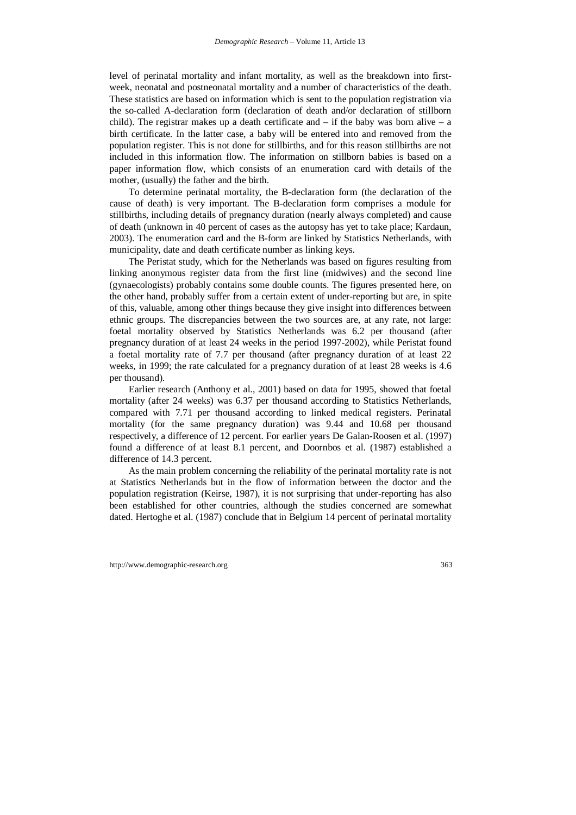level of perinatal mortality and infant mortality, as well as the breakdown into firstweek, neonatal and postneonatal mortality and a number of characteristics of the death. These statistics are based on information which is sent to the population registration via the so-called A-declaration form (declaration of death and/or declaration of stillborn child). The registrar makes up a death certificate and  $-$  if the baby was born alive  $-$  a birth certificate. In the latter case, a baby will be entered into and removed from the population register. This is not done for stillbirths, and for this reason stillbirths are not included in this information flow. The information on stillborn babies is based on a paper information flow, which consists of an enumeration card with details of the mother, (usually) the father and the birth.

To determine perinatal mortality, the B-declaration form (the declaration of the cause of death) is very important. The B-declaration form comprises a module for stillbirths, including details of pregnancy duration (nearly always completed) and cause of death (unknown in 40 percent of cases as the autopsy has yet to take place; Kardaun, 2003). The enumeration card and the B-form are linked by Statistics Netherlands, with municipality, date and death certificate number as linking keys.

The Peristat study, which for the Netherlands was based on figures resulting from linking anonymous register data from the first line (midwives) and the second line (gynaecologists) probably contains some double counts. The figures presented here, on the other hand, probably suffer from a certain extent of under-reporting but are, in spite of this, valuable, among other things because they give insight into differences between ethnic groups. The discrepancies between the two sources are, at any rate, not large: foetal mortality observed by Statistics Netherlands was 6.2 per thousand (after pregnancy duration of at least 24 weeks in the period 1997-2002), while Peristat found a foetal mortality rate of 7.7 per thousand (after pregnancy duration of at least 22 weeks, in 1999; the rate calculated for a pregnancy duration of at least 28 weeks is 4.6 per thousand).

Earlier research (Anthony et al., 2001) based on data for 1995, showed that foetal mortality (after 24 weeks) was 6.37 per thousand according to Statistics Netherlands, compared with 7.71 per thousand according to linked medical registers. Perinatal mortality (for the same pregnancy duration) was 9.44 and 10.68 per thousand respectively, a difference of 12 percent. For earlier years De Galan-Roosen et al. (1997) found a difference of at least 8.1 percent, and Doornbos et al. (1987) established a difference of 14.3 percent.

As the main problem concerning the reliability of the perinatal mortality rate is not at Statistics Netherlands but in the flow of information between the doctor and the population registration (Keirse, 1987), it is not surprising that under-reporting has also been established for other countries, although the studies concerned are somewhat dated. Hertoghe et al. (1987) conclude that in Belgium 14 percent of perinatal mortality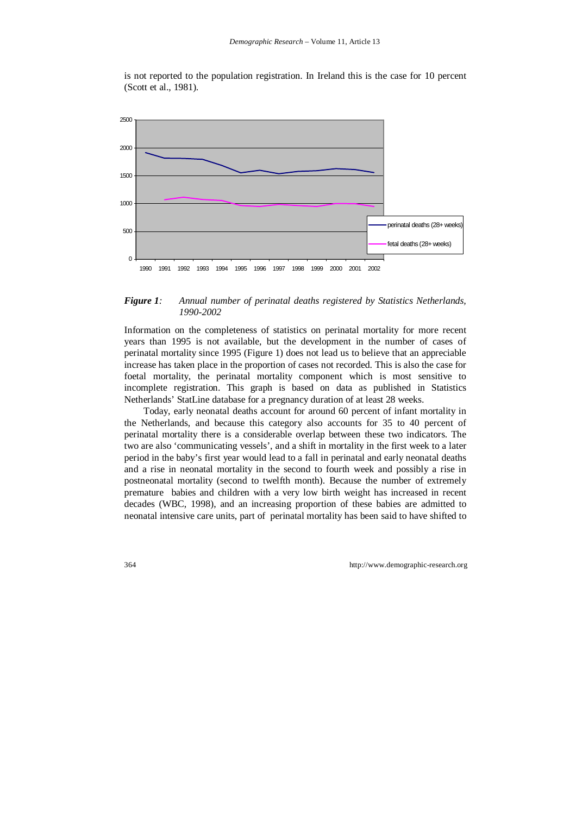is not reported to the population registration. In Ireland this is the case for 10 percent (Scott et al., 1981).



#### *Figure 1: Annual number of perinatal deaths registered by Statistics Netherlands, 1990-2002*

Information on the completeness of statistics on perinatal mortality for more recent years than 1995 is not available, but the development in the number of cases of perinatal mortality since 1995 (Figure 1) does not lead us to believe that an appreciable increase has taken place in the proportion of cases not recorded. This is also the case for foetal mortality, the perinatal mortality component which is most sensitive to incomplete registration. This graph is based on data as published in Statistics Netherlands' StatLine database for a pregnancy duration of at least 28 weeks.

Today, early neonatal deaths account for around 60 percent of infant mortality in the Netherlands, and because this category also accounts for 35 to 40 percent of perinatal mortality there is a considerable overlap between these two indicators. The two are also 'communicating vessels', and a shift in mortality in the first week to a later period in the baby's first year would lead to a fall in perinatal and early neonatal deaths and a rise in neonatal mortality in the second to fourth week and possibly a rise in postneonatal mortality (second to twelfth month). Because the number of extremely premature babies and children with a very low birth weight has increased in recent decades (WBC, 1998), and an increasing proportion of these babies are admitted to neonatal intensive care units, part of perinatal mortality has been said to have shifted to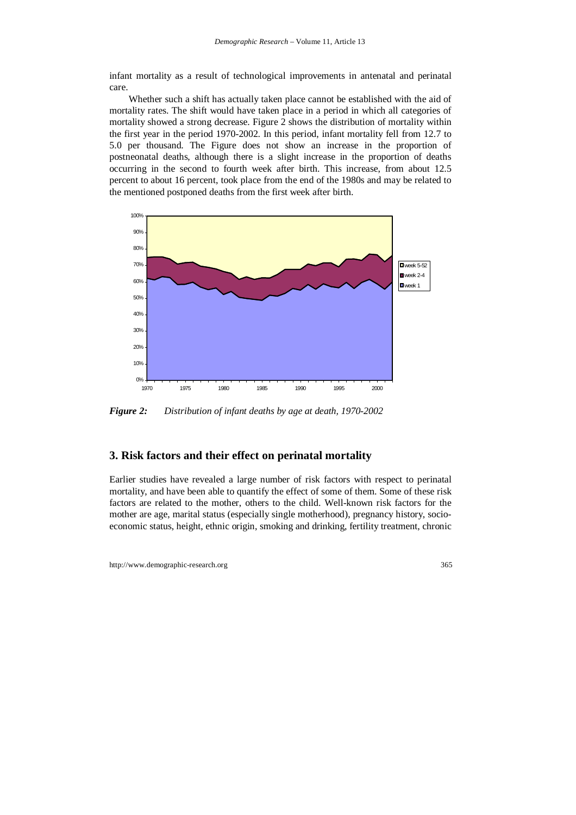infant mortality as a result of technological improvements in antenatal and perinatal care.

Whether such a shift has actually taken place cannot be established with the aid of mortality rates. The shift would have taken place in a period in which all categories of mortality showed a strong decrease. Figure 2 shows the distribution of mortality within the first year in the period 1970-2002. In this period, infant mortality fell from 12.7 to 5.0 per thousand. The Figure does not show an increase in the proportion of postneonatal deaths, although there is a slight increase in the proportion of deaths occurring in the second to fourth week after birth. This increase, from about 12.5 percent to about 16 percent, took place from the end of the 1980s and may be related to the mentioned postponed deaths from the first week after birth.



*Figure 2: Distribution of infant deaths by age at death, 1970-2002* 

### **3. Risk factors and their effect on perinatal mortality**

Earlier studies have revealed a large number of risk factors with respect to perinatal mortality, and have been able to quantify the effect of some of them. Some of these risk factors are related to the mother, others to the child. Well-known risk factors for the mother are age, marital status (especially single motherhood), pregnancy history, socioeconomic status, height, ethnic origin, smoking and drinking, fertility treatment, chronic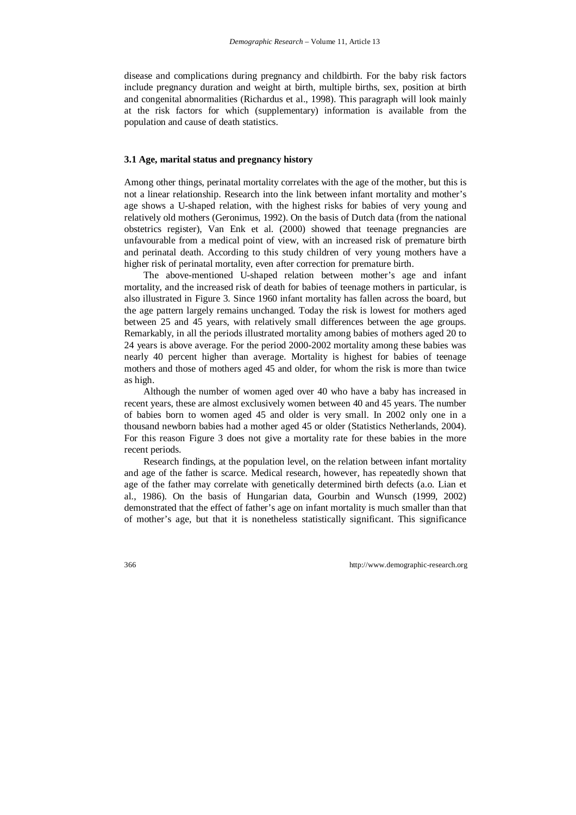disease and complications during pregnancy and childbirth. For the baby risk factors include pregnancy duration and weight at birth, multiple births, sex, position at birth and congenital abnormalities (Richardus et al., 1998). This paragraph will look mainly at the risk factors for which (supplementary) information is available from the population and cause of death statistics.

#### **3.1 Age, marital status and pregnancy history**

Among other things, perinatal mortality correlates with the age of the mother, but this is not a linear relationship. Research into the link between infant mortality and mother's age shows a U-shaped relation, with the highest risks for babies of very young and relatively old mothers (Geronimus, 1992). On the basis of Dutch data (from the national obstetrics register), Van Enk et al. (2000) showed that teenage pregnancies are unfavourable from a medical point of view, with an increased risk of premature birth and perinatal death. According to this study children of very young mothers have a higher risk of perinatal mortality, even after correction for premature birth.

The above-mentioned U-shaped relation between mother's age and infant mortality, and the increased risk of death for babies of teenage mothers in particular, is also illustrated in Figure 3. Since 1960 infant mortality has fallen across the board, but the age pattern largely remains unchanged. Today the risk is lowest for mothers aged between 25 and 45 years, with relatively small differences between the age groups. Remarkably, in all the periods illustrated mortality among babies of mothers aged 20 to 24 years is above average. For the period 2000-2002 mortality among these babies was nearly 40 percent higher than average. Mortality is highest for babies of teenage mothers and those of mothers aged 45 and older, for whom the risk is more than twice as high.

Although the number of women aged over 40 who have a baby has increased in recent years, these are almost exclusively women between 40 and 45 years. The number of babies born to women aged 45 and older is very small. In 2002 only one in a thousand newborn babies had a mother aged 45 or older (Statistics Netherlands, 2004). For this reason Figure 3 does not give a mortality rate for these babies in the more recent periods.

Research findings, at the population level, on the relation between infant mortality and age of the father is scarce. Medical research, however, has repeatedly shown that age of the father may correlate with genetically determined birth defects (a.o. Lian et al., 1986). On the basis of Hungarian data, Gourbin and Wunsch (1999, 2002) demonstrated that the effect of father's age on infant mortality is much smaller than that of mother's age, but that it is nonetheless statistically significant. This significance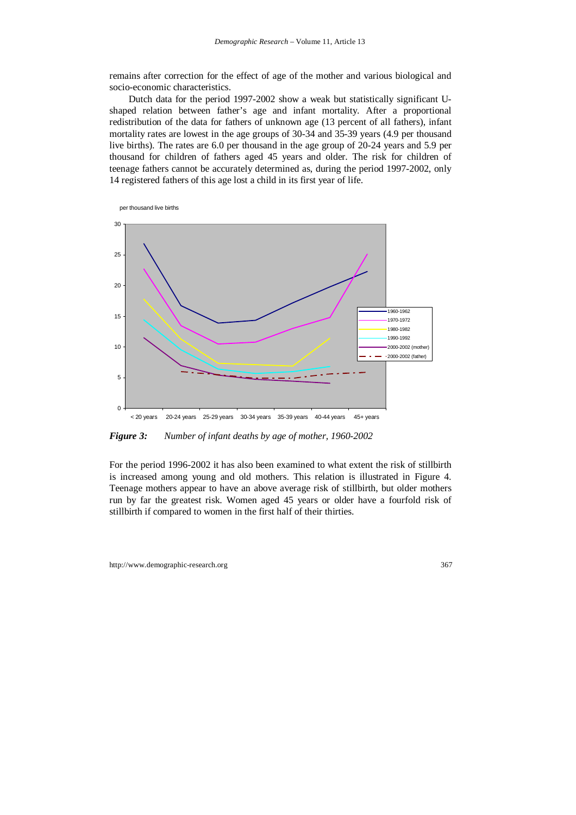remains after correction for the effect of age of the mother and various biological and socio-economic characteristics.

Dutch data for the period 1997-2002 show a weak but statistically significant Ushaped relation between father's age and infant mortality. After a proportional redistribution of the data for fathers of unknown age (13 percent of all fathers), infant mortality rates are lowest in the age groups of 30-34 and 35-39 years (4.9 per thousand live births). The rates are 6.0 per thousand in the age group of 20-24 years and 5.9 per thousand for children of fathers aged 45 years and older. The risk for children of teenage fathers cannot be accurately determined as, during the period 1997-2002, only 14 registered fathers of this age lost a child in its first year of life.



*Figure 3: Number of infant deaths by age of mother, 1960-2002* 

For the period 1996-2002 it has also been examined to what extent the risk of stillbirth is increased among young and old mothers. This relation is illustrated in Figure 4. Teenage mothers appear to have an above average risk of stillbirth, but older mothers run by far the greatest risk. Women aged 45 years or older have a fourfold risk of stillbirth if compared to women in the first half of their thirties.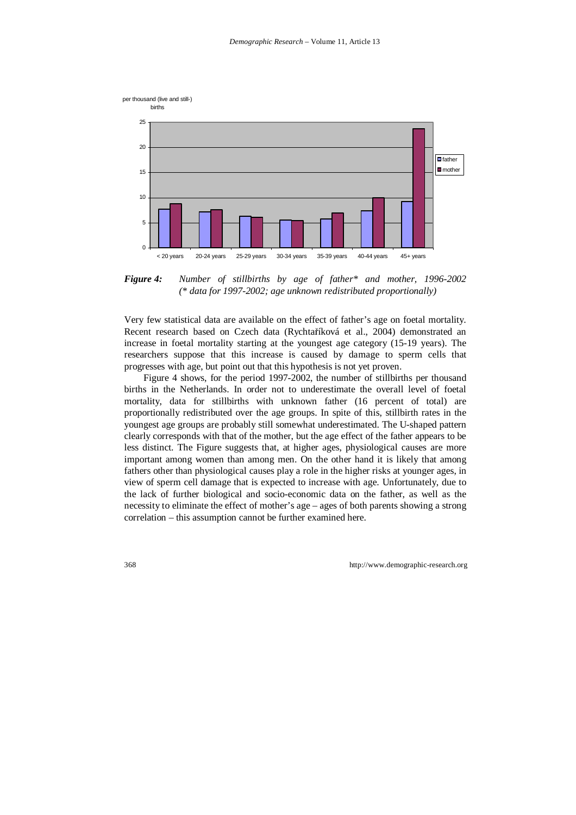

*Figure 4: Number of stillbirths by age of father\* and mother, 1996-2002 (\* data for 1997-2002; age unknown redistributed proportionally)* 

Very few statistical data are available on the effect of father's age on foetal mortality. Recent research based on Czech data (Rychtaříková et al., 2004) demonstrated an increase in foetal mortality starting at the youngest age category (15-19 years). The researchers suppose that this increase is caused by damage to sperm cells that progresses with age, but point out that this hypothesis is not yet proven.

Figure 4 shows, for the period 1997-2002, the number of stillbirths per thousand births in the Netherlands. In order not to underestimate the overall level of foetal mortality, data for stillbirths with unknown father (16 percent of total) are proportionally redistributed over the age groups. In spite of this, stillbirth rates in the youngest age groups are probably still somewhat underestimated. The U-shaped pattern clearly corresponds with that of the mother, but the age effect of the father appears to be less distinct. The Figure suggests that, at higher ages, physiological causes are more important among women than among men. On the other hand it is likely that among fathers other than physiological causes play a role in the higher risks at younger ages, in view of sperm cell damage that is expected to increase with age. Unfortunately, due to the lack of further biological and socio-economic data on the father, as well as the necessity to eliminate the effect of mother's age – ages of both parents showing a strong correlation – this assumption cannot be further examined here.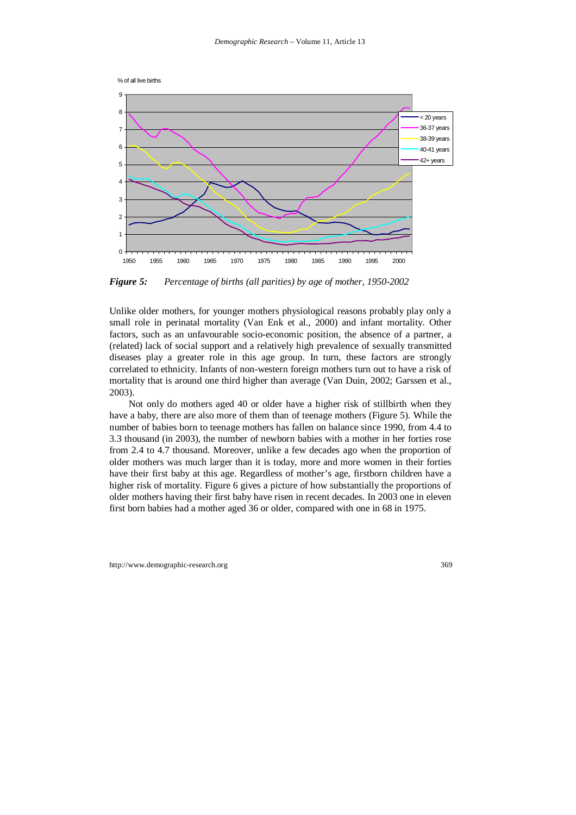



*Figure 5: Percentage of births (all parities) by age of mother, 1950-2002* 

Unlike older mothers, for younger mothers physiological reasons probably play only a small role in perinatal mortality (Van Enk et al., 2000) and infant mortality. Other factors, such as an unfavourable socio-economic position, the absence of a partner, a (related) lack of social support and a relatively high prevalence of sexually transmitted diseases play a greater role in this age group. In turn, these factors are strongly correlated to ethnicity. Infants of non-western foreign mothers turn out to have a risk of mortality that is around one third higher than average (Van Duin, 2002; Garssen et al., 2003).

Not only do mothers aged 40 or older have a higher risk of stillbirth when they have a baby, there are also more of them than of teenage mothers (Figure 5). While the number of babies born to teenage mothers has fallen on balance since 1990, from 4.4 to 3.3 thousand (in 2003), the number of newborn babies with a mother in her forties rose from 2.4 to 4.7 thousand. Moreover, unlike a few decades ago when the proportion of older mothers was much larger than it is today, more and more women in their forties have their first baby at this age. Regardless of mother's age, firstborn children have a higher risk of mortality. Figure 6 gives a picture of how substantially the proportions of older mothers having their first baby have risen in recent decades. In 2003 one in eleven first born babies had a mother aged 36 or older, compared with one in 68 in 1975.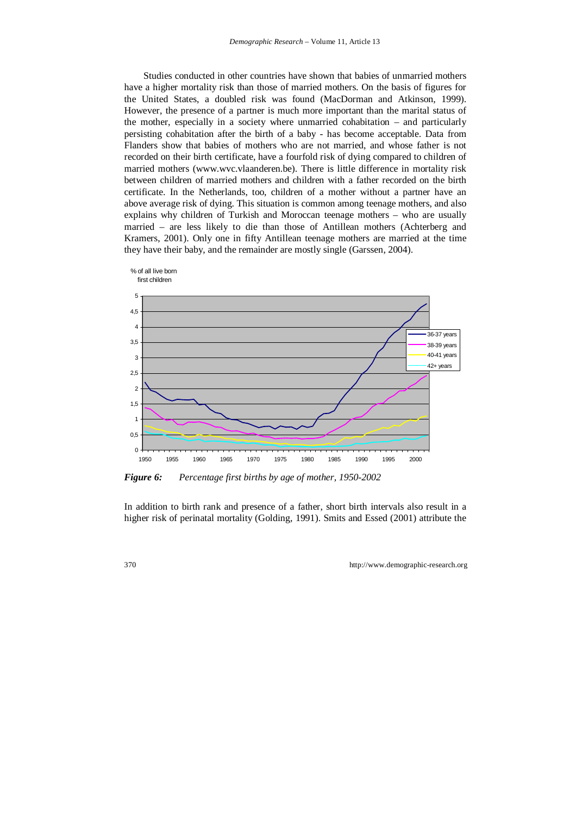Studies conducted in other countries have shown that babies of unmarried mothers have a higher mortality risk than those of married mothers. On the basis of figures for the United States, a doubled risk was found (MacDorman and Atkinson, 1999). However, the presence of a partner is much more important than the marital status of the mother, especially in a society where unmarried cohabitation – and particularly persisting cohabitation after the birth of a baby - has become acceptable. Data from Flanders show that babies of mothers who are not married, and whose father is not recorded on their birth certificate, have a fourfold risk of dying compared to children of married mothers (www.wvc.vlaanderen.be). There is little difference in mortality risk between children of married mothers and children with a father recorded on the birth certificate. In the Netherlands, too, children of a mother without a partner have an above average risk of dying. This situation is common among teenage mothers, and also explains why children of Turkish and Moroccan teenage mothers – who are usually married – are less likely to die than those of Antillean mothers (Achterberg and Kramers, 2001). Only one in fifty Antillean teenage mothers are married at the time they have their baby, and the remainder are mostly single (Garssen, 2004).



*Figure 6: Percentage first births by age of mother, 1950-2002* 

In addition to birth rank and presence of a father, short birth intervals also result in a higher risk of perinatal mortality (Golding, 1991). Smits and Essed (2001) attribute the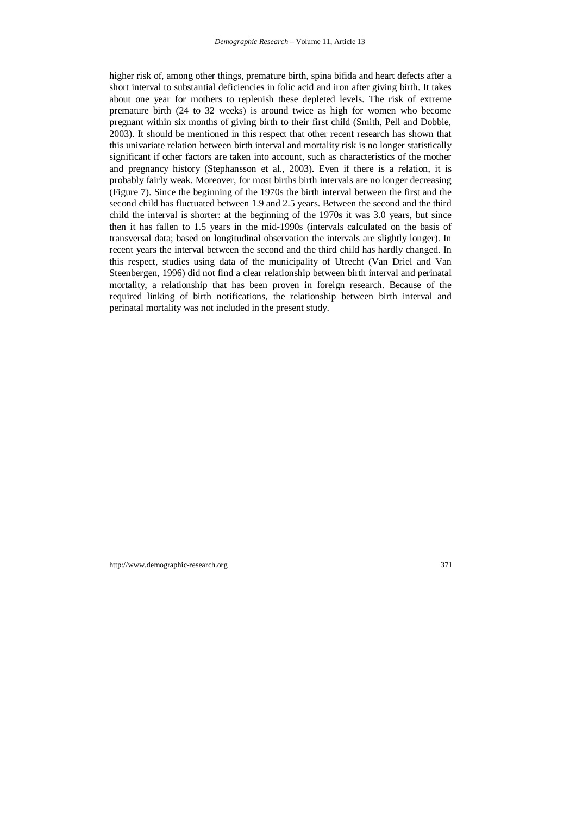higher risk of, among other things, premature birth, spina bifida and heart defects after a short interval to substantial deficiencies in folic acid and iron after giving birth. It takes about one year for mothers to replenish these depleted levels. The risk of extreme premature birth (24 to 32 weeks) is around twice as high for women who become pregnant within six months of giving birth to their first child (Smith, Pell and Dobbie, 2003). It should be mentioned in this respect that other recent research has shown that this univariate relation between birth interval and mortality risk is no longer statistically significant if other factors are taken into account, such as characteristics of the mother and pregnancy history (Stephansson et al., 2003). Even if there is a relation, it is probably fairly weak. Moreover, for most births birth intervals are no longer decreasing (Figure 7). Since the beginning of the 1970s the birth interval between the first and the second child has fluctuated between 1.9 and 2.5 years. Between the second and the third child the interval is shorter: at the beginning of the 1970s it was 3.0 years, but since then it has fallen to 1.5 years in the mid-1990s (intervals calculated on the basis of transversal data; based on longitudinal observation the intervals are slightly longer). In recent years the interval between the second and the third child has hardly changed. In this respect, studies using data of the municipality of Utrecht (Van Driel and Van Steenbergen, 1996) did not find a clear relationship between birth interval and perinatal mortality, a relationship that has been proven in foreign research. Because of the required linking of birth notifications, the relationship between birth interval and perinatal mortality was not included in the present study.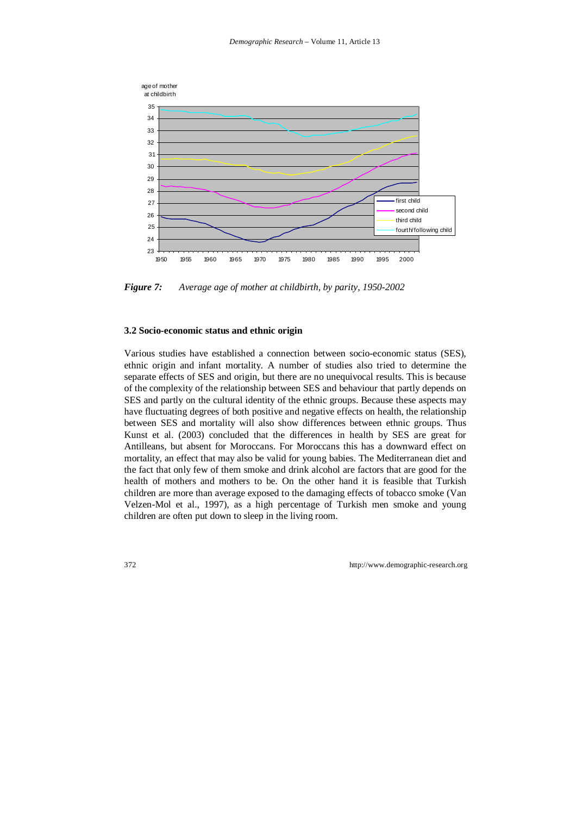

*Figure 7: Average age of mother at childbirth, by parity, 1950-2002* 

#### **3.2 Socio-economic status and ethnic origin**

Various studies have established a connection between socio-economic status (SES), ethnic origin and infant mortality. A number of studies also tried to determine the separate effects of SES and origin, but there are no unequivocal results. This is because of the complexity of the relationship between SES and behaviour that partly depends on SES and partly on the cultural identity of the ethnic groups. Because these aspects may have fluctuating degrees of both positive and negative effects on health, the relationship between SES and mortality will also show differences between ethnic groups. Thus Kunst et al. (2003) concluded that the differences in health by SES are great for Antilleans, but absent for Moroccans. For Moroccans this has a downward effect on mortality, an effect that may also be valid for young babies. The Mediterranean diet and the fact that only few of them smoke and drink alcohol are factors that are good for the health of mothers and mothers to be. On the other hand it is feasible that Turkish children are more than average exposed to the damaging effects of tobacco smoke (Van Velzen-Mol et al., 1997), as a high percentage of Turkish men smoke and young children are often put down to sleep in the living room.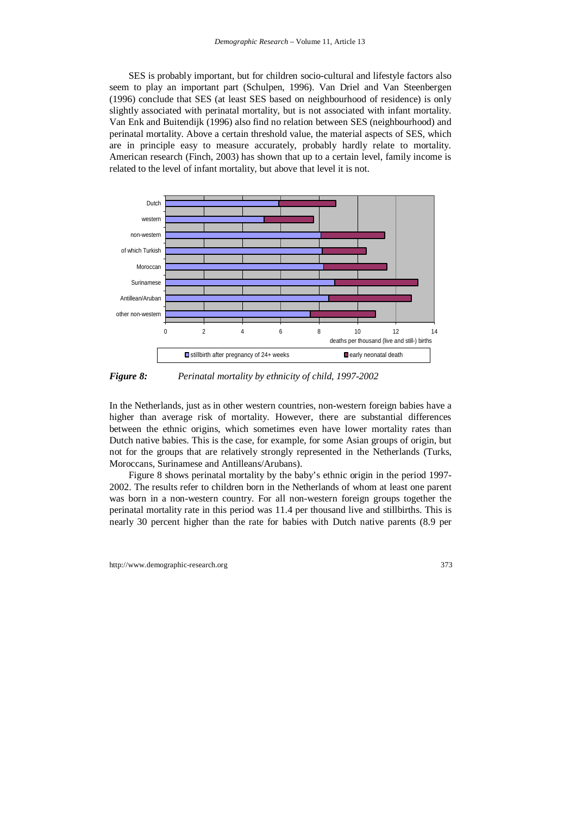SES is probably important, but for children socio-cultural and lifestyle factors also seem to play an important part (Schulpen, 1996). Van Driel and Van Steenbergen (1996) conclude that SES (at least SES based on neighbourhood of residence) is only slightly associated with perinatal mortality, but is not associated with infant mortality. Van Enk and Buitendijk (1996) also find no relation between SES (neighbourhood) and perinatal mortality. Above a certain threshold value, the material aspects of SES, which are in principle easy to measure accurately, probably hardly relate to mortality. American research (Finch, 2003) has shown that up to a certain level, family income is related to the level of infant mortality, but above that level it is not.



*Figure 8: Perinatal mortality by ethnicity of child, 1997-2002* 

In the Netherlands, just as in other western countries, non-western foreign babies have a higher than average risk of mortality. However, there are substantial differences between the ethnic origins, which sometimes even have lower mortality rates than Dutch native babies. This is the case, for example, for some Asian groups of origin, but not for the groups that are relatively strongly represented in the Netherlands (Turks, Moroccans, Surinamese and Antilleans/Arubans).

Figure 8 shows perinatal mortality by the baby's ethnic origin in the period 1997- 2002. The results refer to children born in the Netherlands of whom at least one parent was born in a non-western country. For all non-western foreign groups together the perinatal mortality rate in this period was 11.4 per thousand live and stillbirths. This is nearly 30 percent higher than the rate for babies with Dutch native parents (8.9 per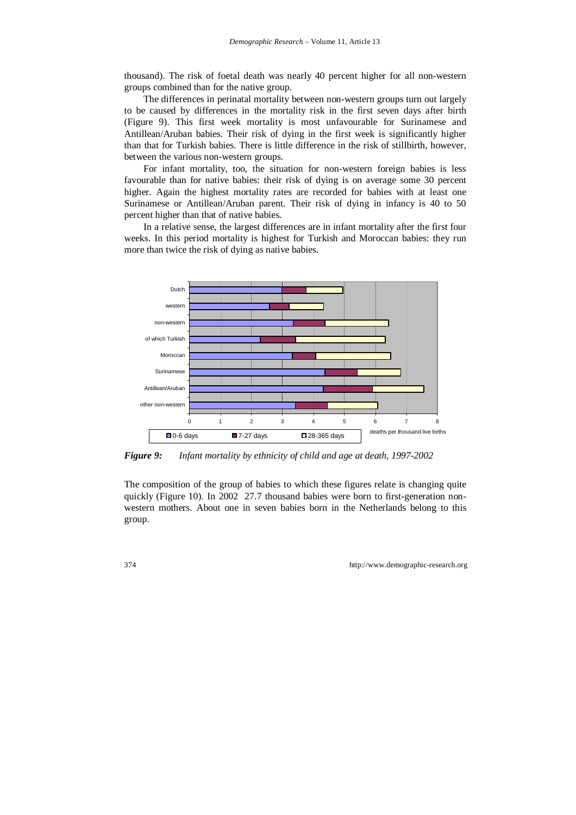thousand). The risk of foetal death was nearly 40 percent higher for all non-western groups combined than for the native group.

The differences in perinatal mortality between non-western groups turn out largely to be caused by differences in the mortality risk in the first seven days after birth (Figure 9). This first week mortality is most unfavourable for Surinamese and Antillean/Aruban babies. Their risk of dying in the first week is significantly higher than that for Turkish babies. There is little difference in the risk of stillbirth, however, between the various non-western groups.

For infant mortality, too, the situation for non-western foreign babies is less favourable than for native babies: their risk of dying is on average some 30 percent higher. Again the highest mortality rates are recorded for babies with at least one Surinamese or Antillean/Aruban parent. Their risk of dying in infancy is 40 to 50 percent higher than that of native babies.

In a relative sense, the largest differences are in infant mortality after the first four weeks. In this period mortality is highest for Turkish and Moroccan babies: they run more than twice the risk of dying as native babies.



*Figure 9: Infant mortality by ethnicity of child and age at death, 1997-2002* 

The composition of the group of babies to which these figures relate is changing quite quickly (Figure 10). In 2002 27.7 thousand babies were born to first-generation nonwestern mothers. About one in seven babies born in the Netherlands belong to this group.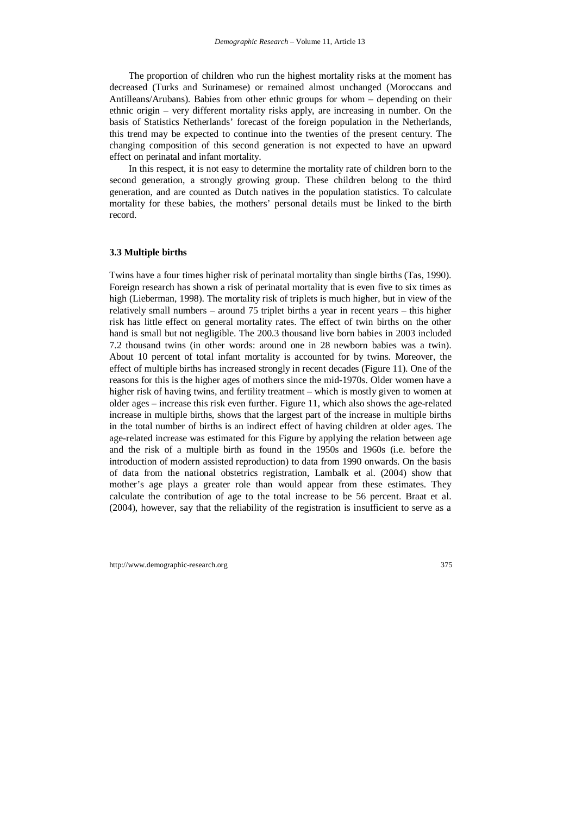The proportion of children who run the highest mortality risks at the moment has decreased (Turks and Surinamese) or remained almost unchanged (Moroccans and Antilleans/Arubans). Babies from other ethnic groups for whom – depending on their ethnic origin – very different mortality risks apply, are increasing in number. On the basis of Statistics Netherlands' forecast of the foreign population in the Netherlands, this trend may be expected to continue into the twenties of the present century. The changing composition of this second generation is not expected to have an upward effect on perinatal and infant mortality.

In this respect, it is not easy to determine the mortality rate of children born to the second generation, a strongly growing group. These children belong to the third generation, and are counted as Dutch natives in the population statistics. To calculate mortality for these babies, the mothers' personal details must be linked to the birth record.

#### **3.3 Multiple births**

Twins have a four times higher risk of perinatal mortality than single births (Tas, 1990). Foreign research has shown a risk of perinatal mortality that is even five to six times as high (Lieberman, 1998). The mortality risk of triplets is much higher, but in view of the relatively small numbers – around 75 triplet births a year in recent years – this higher risk has little effect on general mortality rates. The effect of twin births on the other hand is small but not negligible. The 200.3 thousand live born babies in 2003 included 7.2 thousand twins (in other words: around one in 28 newborn babies was a twin). About 10 percent of total infant mortality is accounted for by twins. Moreover, the effect of multiple births has increased strongly in recent decades (Figure 11). One of the reasons for this is the higher ages of mothers since the mid-1970s. Older women have a higher risk of having twins, and fertility treatment – which is mostly given to women at older ages – increase this risk even further. Figure 11, which also shows the age-related increase in multiple births, shows that the largest part of the increase in multiple births in the total number of births is an indirect effect of having children at older ages. The age-related increase was estimated for this Figure by applying the relation between age and the risk of a multiple birth as found in the 1950s and 1960s (i.e. before the introduction of modern assisted reproduction) to data from 1990 onwards. On the basis of data from the national obstetrics registration, Lambalk et al. (2004) show that mother's age plays a greater role than would appear from these estimates. They calculate the contribution of age to the total increase to be 56 percent. Braat et al. (2004), however, say that the reliability of the registration is insufficient to serve as a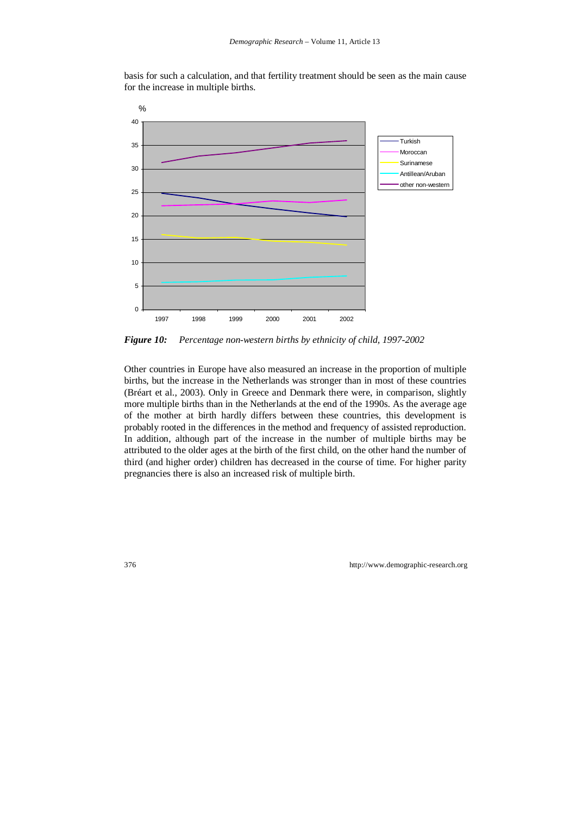basis for such a calculation, and that fertility treatment should be seen as the main cause for the increase in multiple births.



*Figure 10: Percentage non-western births by ethnicity of child, 1997-2002* 

Other countries in Europe have also measured an increase in the proportion of multiple births, but the increase in the Netherlands was stronger than in most of these countries (Bréart et al., 2003). Only in Greece and Denmark there were, in comparison, slightly more multiple births than in the Netherlands at the end of the 1990s. As the average age of the mother at birth hardly differs between these countries, this development is probably rooted in the differences in the method and frequency of assisted reproduction. In addition, although part of the increase in the number of multiple births may be attributed to the older ages at the birth of the first child, on the other hand the number of third (and higher order) children has decreased in the course of time. For higher parity pregnancies there is also an increased risk of multiple birth.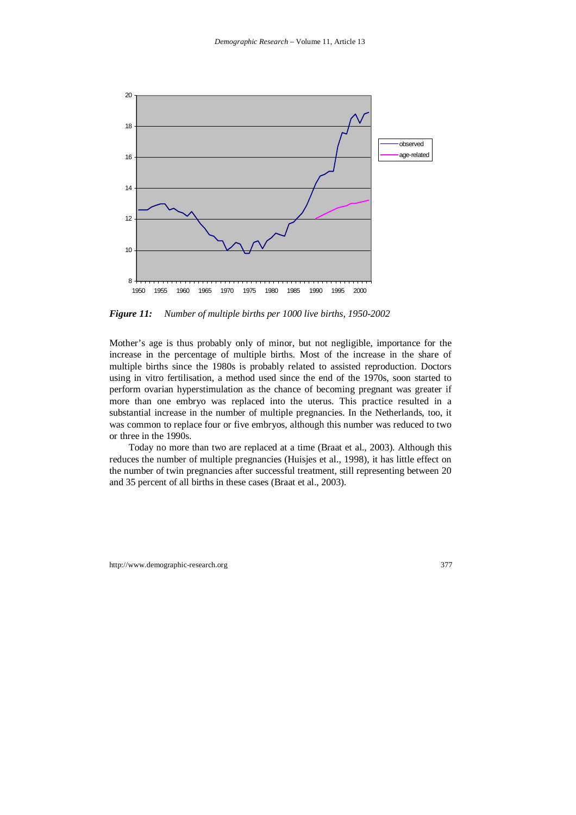

*Figure 11: Number of multiple births per 1000 live births, 1950-2002* 

Mother's age is thus probably only of minor, but not negligible, importance for the increase in the percentage of multiple births. Most of the increase in the share of multiple births since the 1980s is probably related to assisted reproduction. Doctors using in vitro fertilisation, a method used since the end of the 1970s, soon started to perform ovarian hyperstimulation as the chance of becoming pregnant was greater if more than one embryo was replaced into the uterus. This practice resulted in a substantial increase in the number of multiple pregnancies. In the Netherlands, too, it was common to replace four or five embryos, although this number was reduced to two or three in the 1990s.

Today no more than two are replaced at a time (Braat et al., 2003). Although this reduces the number of multiple pregnancies (Huisjes et al., 1998), it has little effect on the number of twin pregnancies after successful treatment, still representing between 20 and 35 percent of all births in these cases (Braat et al., 2003).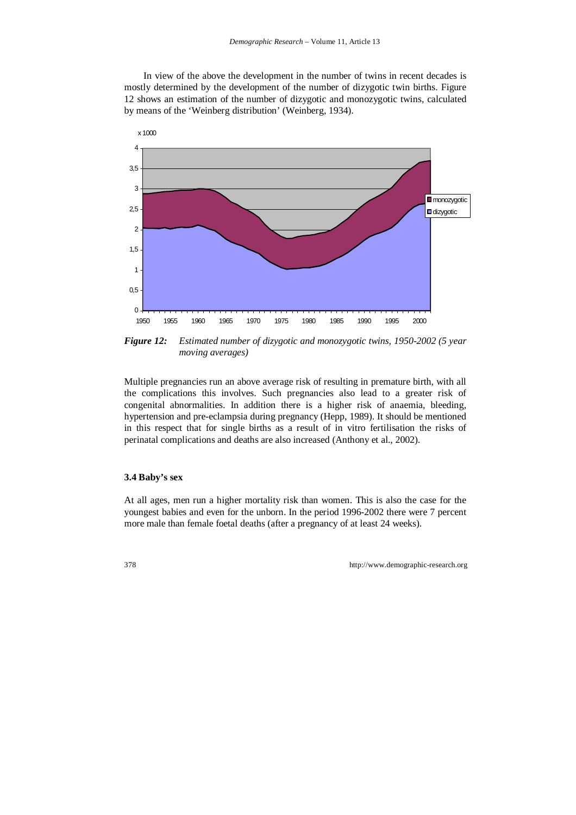In view of the above the development in the number of twins in recent decades is mostly determined by the development of the number of dizygotic twin births. Figure 12 shows an estimation of the number of dizygotic and monozygotic twins, calculated by means of the 'Weinberg distribution' (Weinberg, 1934).



*Figure 12: Estimated number of dizygotic and monozygotic twins, 1950-2002 (5 year moving averages)* 

Multiple pregnancies run an above average risk of resulting in premature birth, with all the complications this involves. Such pregnancies also lead to a greater risk of congenital abnormalities. In addition there is a higher risk of anaemia, bleeding, hypertension and pre-eclampsia during pregnancy (Hepp, 1989). It should be mentioned in this respect that for single births as a result of in vitro fertilisation the risks of perinatal complications and deaths are also increased (Anthony et al., 2002).

#### **3.4 Baby's sex**

At all ages, men run a higher mortality risk than women. This is also the case for the youngest babies and even for the unborn. In the period 1996-2002 there were 7 percent more male than female foetal deaths (after a pregnancy of at least 24 weeks).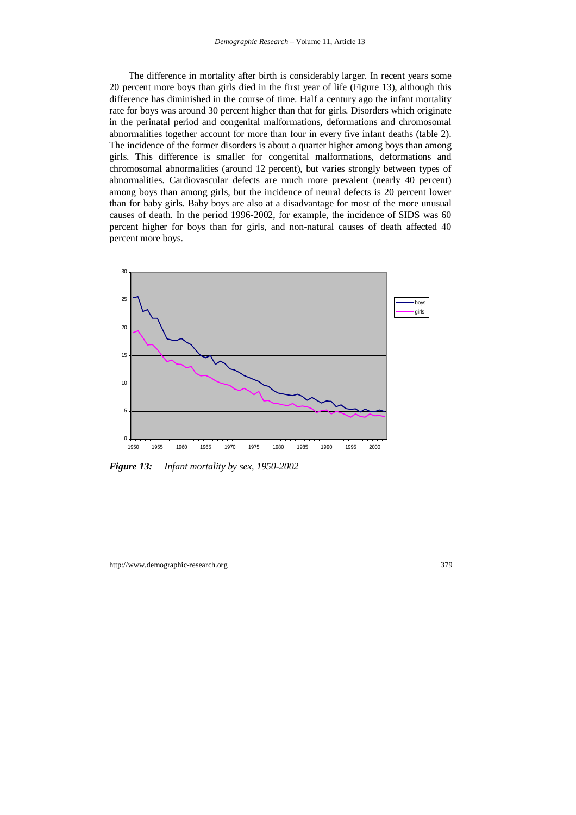The difference in mortality after birth is considerably larger. In recent years some 20 percent more boys than girls died in the first year of life (Figure 13), although this difference has diminished in the course of time. Half a century ago the infant mortality rate for boys was around 30 percent higher than that for girls. Disorders which originate in the perinatal period and congenital malformations, deformations and chromosomal abnormalities together account for more than four in every five infant deaths (table 2). The incidence of the former disorders is about a quarter higher among boys than among girls. This difference is smaller for congenital malformations, deformations and chromosomal abnormalities (around 12 percent), but varies strongly between types of abnormalities. Cardiovascular defects are much more prevalent (nearly 40 percent) among boys than among girls, but the incidence of neural defects is 20 percent lower than for baby girls. Baby boys are also at a disadvantage for most of the more unusual causes of death. In the period 1996-2002, for example, the incidence of SIDS was 60 percent higher for boys than for girls, and non-natural causes of death affected 40 percent more boys.



*Figure 13: Infant mortality by sex, 1950-2002*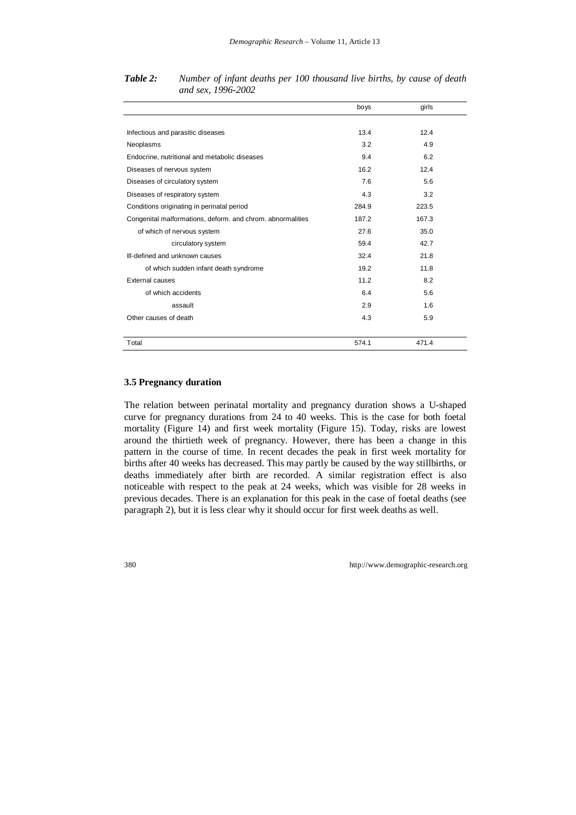|                                                            | boys  | girls |  |
|------------------------------------------------------------|-------|-------|--|
|                                                            |       |       |  |
| Infectious and parasitic diseases                          | 13.4  | 12.4  |  |
| Neoplasms                                                  | 3.2   | 4.9   |  |
| Endocrine, nutritional and metabolic diseases              | 9.4   | 6.2   |  |
| Diseases of nervous system                                 | 16.2  | 12.4  |  |
| Diseases of circulatory system                             | 7.6   | 5.6   |  |
| Diseases of respiratory system                             | 4.3   | 3.2   |  |
| Conditions originating in perinatal period                 | 284.9 | 223.5 |  |
| Congenital malformations, deform. and chrom. abnormalities | 187.2 | 167.3 |  |
| of which of nervous system                                 | 27.6  | 35.0  |  |
| circulatory system                                         | 59.4  | 42.7  |  |
| III-defined and unknown causes                             | 32.4  | 21.8  |  |
| of which sudden infant death syndrome                      | 19.2  | 11.8  |  |
| External causes                                            | 11.2  | 8.2   |  |
| of which accidents                                         | 6.4   | 5.6   |  |
| assault                                                    | 2.9   | 1.6   |  |
| Other causes of death                                      | 4.3   | 5.9   |  |
|                                                            |       |       |  |
| Total                                                      | 574.1 | 471.4 |  |

*Table 2: Number of infant deaths per 100 thousand live births, by cause of death and sex, 1996-2002* 

### **3.5 Pregnancy duration**

The relation between perinatal mortality and pregnancy duration shows a U-shaped curve for pregnancy durations from 24 to 40 weeks. This is the case for both foetal mortality (Figure 14) and first week mortality (Figure 15). Today, risks are lowest around the thirtieth week of pregnancy. However, there has been a change in this pattern in the course of time. In recent decades the peak in first week mortality for births after 40 weeks has decreased. This may partly be caused by the way stillbirths, or deaths immediately after birth are recorded. A similar registration effect is also noticeable with respect to the peak at 24 weeks, which was visible for 28 weeks in previous decades. There is an explanation for this peak in the case of foetal deaths (see paragraph 2), but it is less clear why it should occur for first week deaths as well.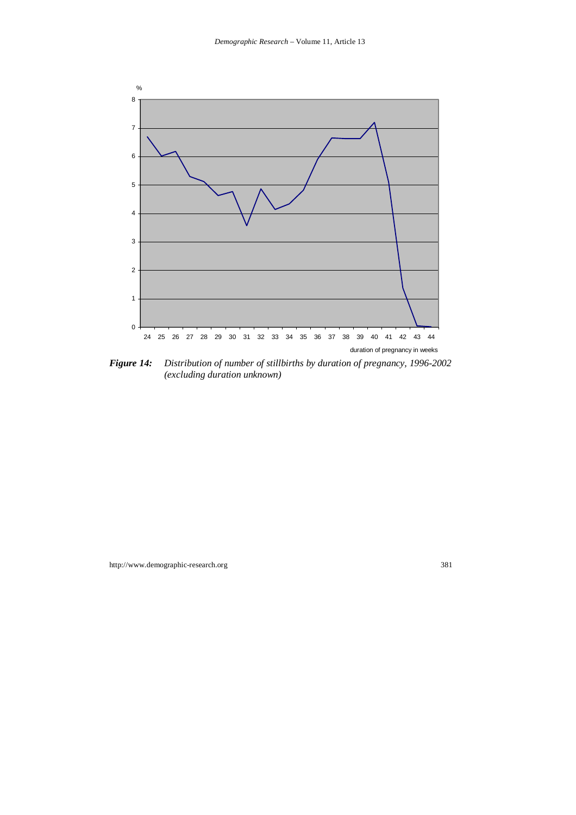

*Figure 14: Distribution of number of stillbirths by duration of pregnancy, 1996-2002 (excluding duration unknown)*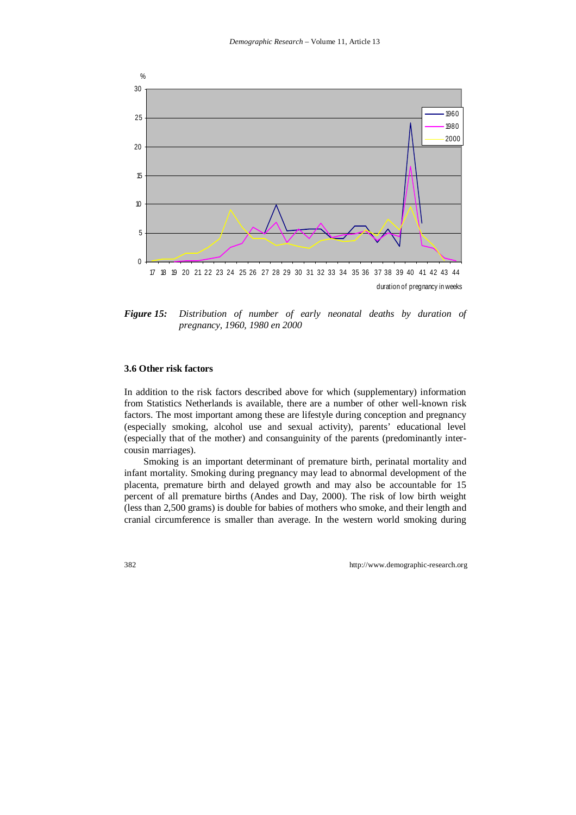

*Figure 15: Distribution of number of early neonatal deaths by duration of pregnancy, 1960, 1980 en 2000* 

#### **3.6 Other risk factors**

In addition to the risk factors described above for which (supplementary) information from Statistics Netherlands is available, there are a number of other well-known risk factors. The most important among these are lifestyle during conception and pregnancy (especially smoking, alcohol use and sexual activity), parents' educational level (especially that of the mother) and consanguinity of the parents (predominantly intercousin marriages).

Smoking is an important determinant of premature birth, perinatal mortality and infant mortality. Smoking during pregnancy may lead to abnormal development of the placenta, premature birth and delayed growth and may also be accountable for 15 percent of all premature births (Andes and Day, 2000). The risk of low birth weight (less than 2,500 grams) is double for babies of mothers who smoke, and their length and cranial circumference is smaller than average. In the western world smoking during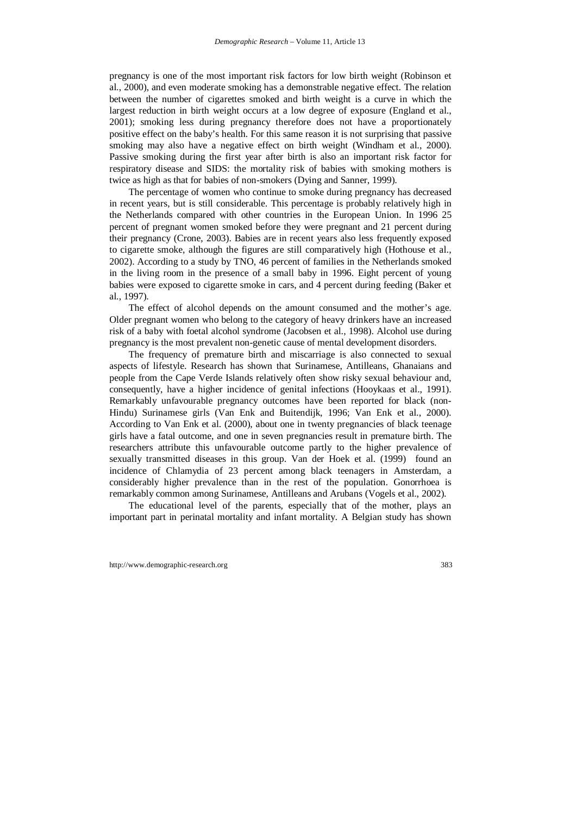pregnancy is one of the most important risk factors for low birth weight (Robinson et al., 2000), and even moderate smoking has a demonstrable negative effect. The relation between the number of cigarettes smoked and birth weight is a curve in which the largest reduction in birth weight occurs at a low degree of exposure (England et al., 2001); smoking less during pregnancy therefore does not have a proportionately positive effect on the baby's health. For this same reason it is not surprising that passive smoking may also have a negative effect on birth weight (Windham et al., 2000). Passive smoking during the first year after birth is also an important risk factor for respiratory disease and SIDS: the mortality risk of babies with smoking mothers is twice as high as that for babies of non-smokers (Dying and Sanner, 1999).

The percentage of women who continue to smoke during pregnancy has decreased in recent years, but is still considerable. This percentage is probably relatively high in the Netherlands compared with other countries in the European Union. In 1996 25 percent of pregnant women smoked before they were pregnant and 21 percent during their pregnancy (Crone, 2003). Babies are in recent years also less frequently exposed to cigarette smoke, although the figures are still comparatively high (Hothouse et al., 2002). According to a study by TNO, 46 percent of families in the Netherlands smoked in the living room in the presence of a small baby in 1996. Eight percent of young babies were exposed to cigarette smoke in cars, and 4 percent during feeding (Baker et al., 1997).

The effect of alcohol depends on the amount consumed and the mother's age. Older pregnant women who belong to the category of heavy drinkers have an increased risk of a baby with foetal alcohol syndrome (Jacobsen et al., 1998). Alcohol use during pregnancy is the most prevalent non-genetic cause of mental development disorders.

The frequency of premature birth and miscarriage is also connected to sexual aspects of lifestyle. Research has shown that Surinamese, Antilleans, Ghanaians and people from the Cape Verde Islands relatively often show risky sexual behaviour and, consequently, have a higher incidence of genital infections (Hooykaas et al., 1991). Remarkably unfavourable pregnancy outcomes have been reported for black (non-Hindu) Surinamese girls (Van Enk and Buitendijk, 1996; Van Enk et al., 2000). According to Van Enk et al. (2000), about one in twenty pregnancies of black teenage girls have a fatal outcome, and one in seven pregnancies result in premature birth. The researchers attribute this unfavourable outcome partly to the higher prevalence of sexually transmitted diseases in this group. Van der Hoek et al. (1999) found an incidence of Chlamydia of 23 percent among black teenagers in Amsterdam, a considerably higher prevalence than in the rest of the population. Gonorrhoea is remarkably common among Surinamese, Antilleans and Arubans (Vogels et al., 2002).

The educational level of the parents, especially that of the mother, plays an important part in perinatal mortality and infant mortality. A Belgian study has shown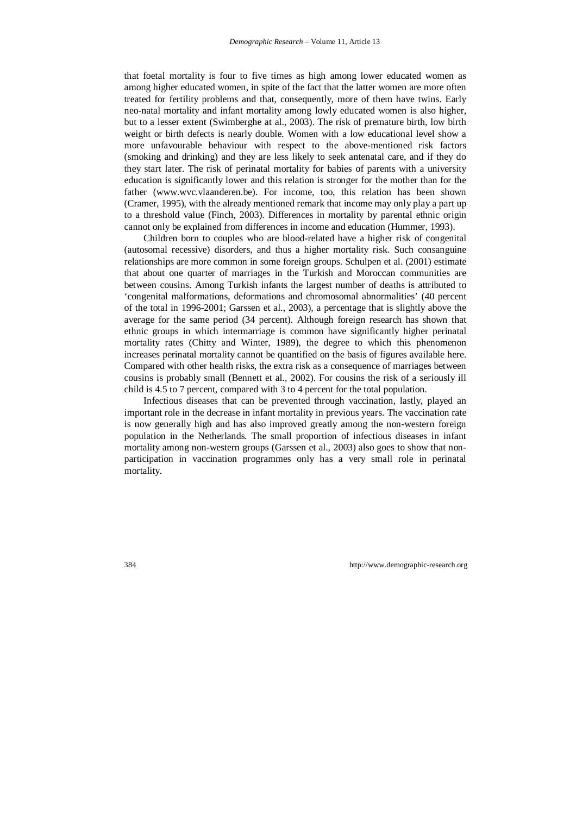that foetal mortality is four to five times as high among lower educated women as among higher educated women, in spite of the fact that the latter women are more often treated for fertility problems and that, consequently, more of them have twins. Early neo-natal mortality and infant mortality among lowly educated women is also higher, but to a lesser extent (Swimberghe at al., 2003). The risk of premature birth, low birth weight or birth defects is nearly double. Women with a low educational level show a more unfavourable behaviour with respect to the above-mentioned risk factors (smoking and drinking) and they are less likely to seek antenatal care, and if they do they start later. The risk of perinatal mortality for babies of parents with a university education is significantly lower and this relation is stronger for the mother than for the father (www.wvc.vlaanderen.be). For income, too, this relation has been shown (Cramer, 1995), with the already mentioned remark that income may only play a part up to a threshold value (Finch, 2003). Differences in mortality by parental ethnic origin cannot only be explained from differences in income and education (Hummer, 1993).

Children born to couples who are blood-related have a higher risk of congenital (autosomal recessive) disorders, and thus a higher mortality risk. Such consanguine relationships are more common in some foreign groups. Schulpen et al. (2001) estimate that about one quarter of marriages in the Turkish and Moroccan communities are between cousins. Among Turkish infants the largest number of deaths is attributed to 'congenital malformations, deformations and chromosomal abnormalities' (40 percent of the total in 1996-2001; Garssen et al., 2003), a percentage that is slightly above the average for the same period (34 percent). Although foreign research has shown that ethnic groups in which intermarriage is common have significantly higher perinatal mortality rates (Chitty and Winter, 1989), the degree to which this phenomenon increases perinatal mortality cannot be quantified on the basis of figures available here. Compared with other health risks, the extra risk as a consequence of marriages between cousins is probably small (Bennett et al., 2002). For cousins the risk of a seriously ill child is 4.5 to 7 percent, compared with 3 to 4 percent for the total population.

Infectious diseases that can be prevented through vaccination, lastly, played an important role in the decrease in infant mortality in previous years. The vaccination rate is now generally high and has also improved greatly among the non-western foreign population in the Netherlands. The small proportion of infectious diseases in infant mortality among non-western groups (Garssen et al., 2003) also goes to show that nonparticipation in vaccination programmes only has a very small role in perinatal mortality.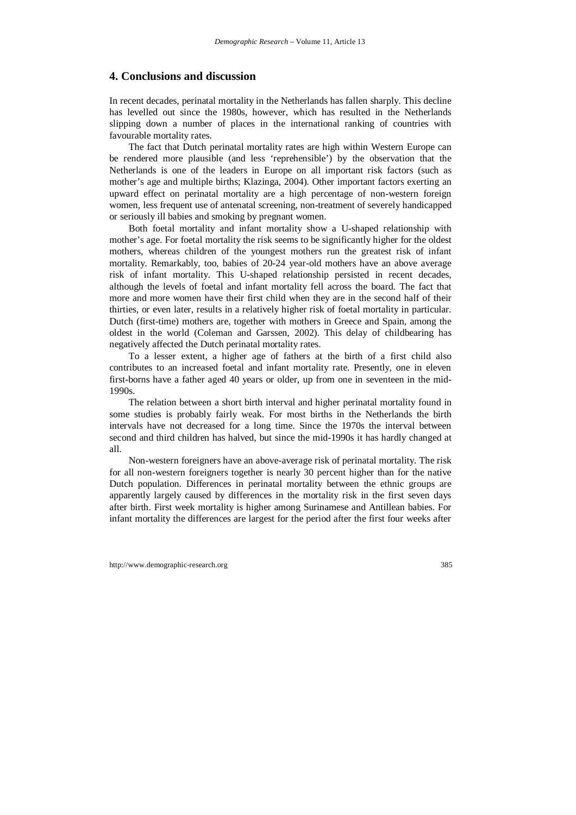### **4. Conclusions and discussion**

In recent decades, perinatal mortality in the Netherlands has fallen sharply. This decline has levelled out since the 1980s, however, which has resulted in the Netherlands slipping down a number of places in the international ranking of countries with favourable mortality rates.

The fact that Dutch perinatal mortality rates are high within Western Europe can be rendered more plausible (and less 'reprehensible') by the observation that the Netherlands is one of the leaders in Europe on all important risk factors (such as mother's age and multiple births; Klazinga, 2004). Other important factors exerting an upward effect on perinatal mortality are a high percentage of non-western foreign women, less frequent use of antenatal screening, non-treatment of severely handicapped or seriously ill babies and smoking by pregnant women.

Both foetal mortality and infant mortality show a U-shaped relationship with mother's age. For foetal mortality the risk seems to be significantly higher for the oldest mothers, whereas children of the youngest mothers run the greatest risk of infant mortality. Remarkably, too, babies of 20-24 year-old mothers have an above average risk of infant mortality. This U-shaped relationship persisted in recent decades, although the levels of foetal and infant mortality fell across the board. The fact that more and more women have their first child when they are in the second half of their thirties, or even later, results in a relatively higher risk of foetal mortality in particular. Dutch (first-time) mothers are, together with mothers in Greece and Spain, among the oldest in the world (Coleman and Garssen, 2002). This delay of childbearing has negatively affected the Dutch perinatal mortality rates.

To a lesser extent, a higher age of fathers at the birth of a first child also contributes to an increased foetal and infant mortality rate. Presently, one in eleven first-borns have a father aged 40 years or older, up from one in seventeen in the mid-1990s.

The relation between a short birth interval and higher perinatal mortality found in some studies is probably fairly weak. For most births in the Netherlands the birth intervals have not decreased for a long time. Since the 1970s the interval between second and third children has halved, but since the mid-1990s it has hardly changed at all.

Non-western foreigners have an above-average risk of perinatal mortality. The risk for all non-western foreigners together is nearly 30 percent higher than for the native Dutch population. Differences in perinatal mortality between the ethnic groups are apparently largely caused by differences in the mortality risk in the first seven days after birth. First week mortality is higher among Surinamese and Antillean babies. For infant mortality the differences are largest for the period after the first four weeks after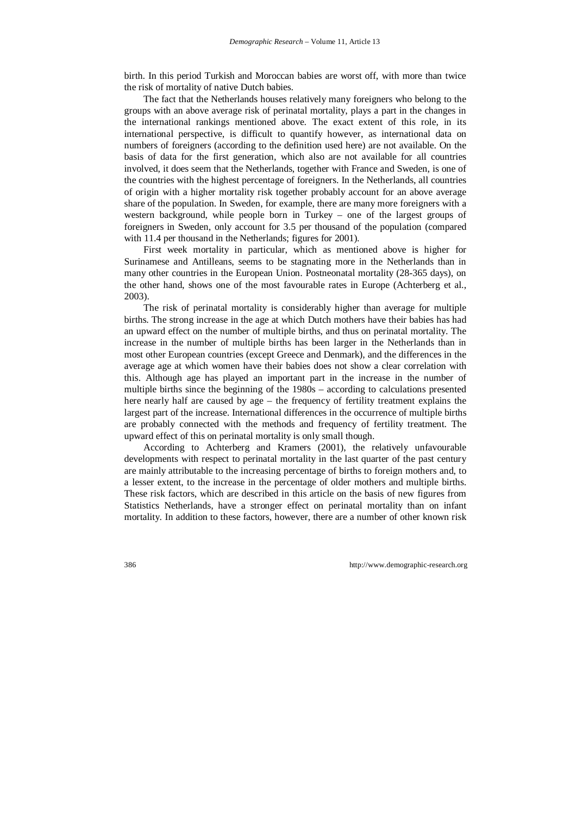birth. In this period Turkish and Moroccan babies are worst off, with more than twice the risk of mortality of native Dutch babies.

The fact that the Netherlands houses relatively many foreigners who belong to the groups with an above average risk of perinatal mortality, plays a part in the changes in the international rankings mentioned above. The exact extent of this role, in its international perspective, is difficult to quantify however, as international data on numbers of foreigners (according to the definition used here) are not available. On the basis of data for the first generation, which also are not available for all countries involved, it does seem that the Netherlands, together with France and Sweden, is one of the countries with the highest percentage of foreigners. In the Netherlands, all countries of origin with a higher mortality risk together probably account for an above average share of the population. In Sweden, for example, there are many more foreigners with a western background, while people born in Turkey – one of the largest groups of foreigners in Sweden, only account for 3.5 per thousand of the population (compared with 11.4 per thousand in the Netherlands; figures for 2001).

First week mortality in particular, which as mentioned above is higher for Surinamese and Antilleans, seems to be stagnating more in the Netherlands than in many other countries in the European Union. Postneonatal mortality (28-365 days), on the other hand, shows one of the most favourable rates in Europe (Achterberg et al., 2003).

The risk of perinatal mortality is considerably higher than average for multiple births. The strong increase in the age at which Dutch mothers have their babies has had an upward effect on the number of multiple births, and thus on perinatal mortality. The increase in the number of multiple births has been larger in the Netherlands than in most other European countries (except Greece and Denmark), and the differences in the average age at which women have their babies does not show a clear correlation with this. Although age has played an important part in the increase in the number of multiple births since the beginning of the 1980s – according to calculations presented here nearly half are caused by age – the frequency of fertility treatment explains the largest part of the increase. International differences in the occurrence of multiple births are probably connected with the methods and frequency of fertility treatment. The upward effect of this on perinatal mortality is only small though.

According to Achterberg and Kramers (2001), the relatively unfavourable developments with respect to perinatal mortality in the last quarter of the past century are mainly attributable to the increasing percentage of births to foreign mothers and, to a lesser extent, to the increase in the percentage of older mothers and multiple births. These risk factors, which are described in this article on the basis of new figures from Statistics Netherlands, have a stronger effect on perinatal mortality than on infant mortality. In addition to these factors, however, there are a number of other known risk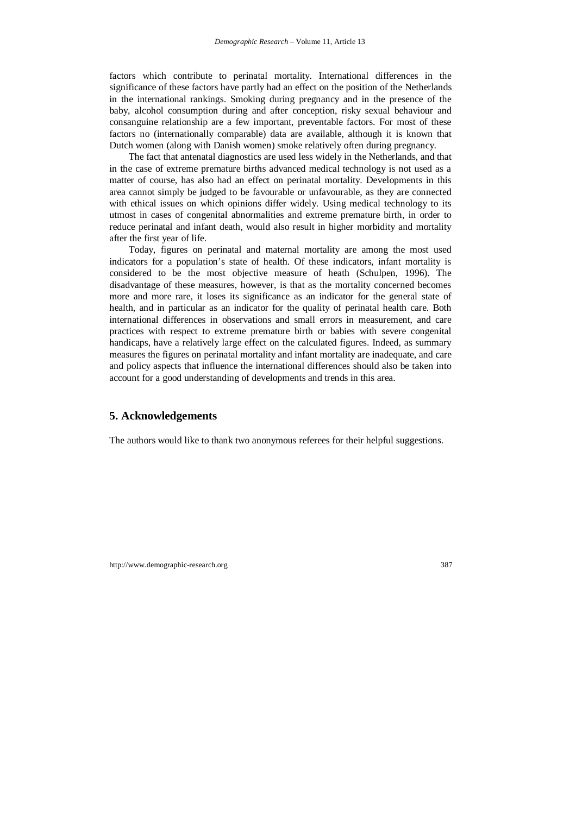factors which contribute to perinatal mortality. International differences in the significance of these factors have partly had an effect on the position of the Netherlands in the international rankings. Smoking during pregnancy and in the presence of the baby, alcohol consumption during and after conception, risky sexual behaviour and consanguine relationship are a few important, preventable factors. For most of these factors no (internationally comparable) data are available, although it is known that Dutch women (along with Danish women) smoke relatively often during pregnancy.

The fact that antenatal diagnostics are used less widely in the Netherlands, and that in the case of extreme premature births advanced medical technology is not used as a matter of course, has also had an effect on perinatal mortality. Developments in this area cannot simply be judged to be favourable or unfavourable, as they are connected with ethical issues on which opinions differ widely. Using medical technology to its utmost in cases of congenital abnormalities and extreme premature birth, in order to reduce perinatal and infant death, would also result in higher morbidity and mortality after the first year of life.

Today, figures on perinatal and maternal mortality are among the most used indicators for a population's state of health. Of these indicators, infant mortality is considered to be the most objective measure of heath (Schulpen, 1996). The disadvantage of these measures, however, is that as the mortality concerned becomes more and more rare, it loses its significance as an indicator for the general state of health, and in particular as an indicator for the quality of perinatal health care. Both international differences in observations and small errors in measurement, and care practices with respect to extreme premature birth or babies with severe congenital handicaps, have a relatively large effect on the calculated figures. Indeed, as summary measures the figures on perinatal mortality and infant mortality are inadequate, and care and policy aspects that influence the international differences should also be taken into account for a good understanding of developments and trends in this area.

### **5. Acknowledgements**

The authors would like to thank two anonymous referees for their helpful suggestions.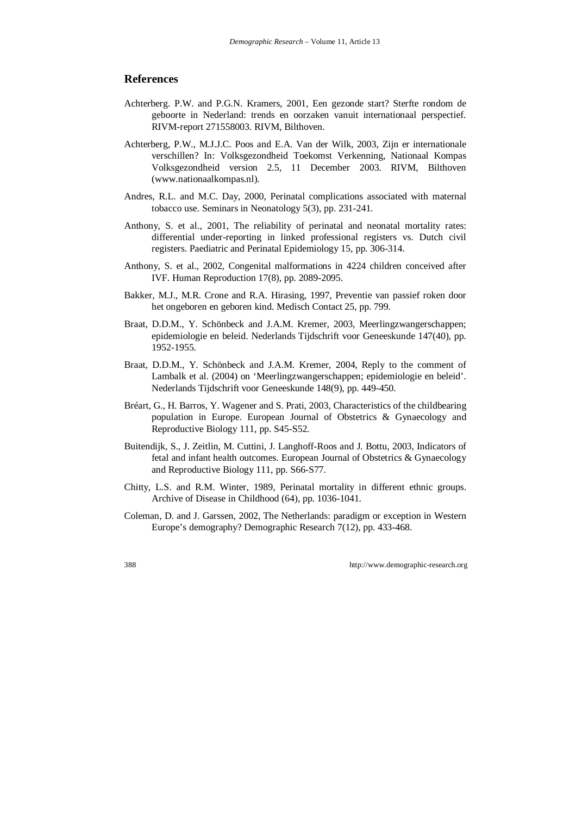### **References**

- Achterberg. P.W. and P.G.N. Kramers, 2001, Een gezonde start? Sterfte rondom de geboorte in Nederland: trends en oorzaken vanuit internationaal perspectief. RIVM-report 271558003. RIVM, Bilthoven.
- Achterberg, P.W., M.J.J.C. Poos and E.A. Van der Wilk, 2003, Zijn er internationale verschillen? In: Volksgezondheid Toekomst Verkenning, Nationaal Kompas Volksgezondheid version 2.5, 11 December 2003. RIVM, Bilthoven (www.nationaalkompas.nl).
- Andres, R.L. and M.C. Day, 2000, Perinatal complications associated with maternal tobacco use. Seminars in Neonatology 5(3), pp. 231-241.
- Anthony, S. et al., 2001, The reliability of perinatal and neonatal mortality rates: differential under-reporting in linked professional registers vs. Dutch civil registers. Paediatric and Perinatal Epidemiology 15, pp. 306-314.
- Anthony, S. et al., 2002, Congenital malformations in 4224 children conceived after IVF. Human Reproduction 17(8), pp. 2089-2095.
- Bakker, M.J., M.R. Crone and R.A. Hirasing, 1997, Preventie van passief roken door het ongeboren en geboren kind. Medisch Contact 25, pp. 799.
- Braat, D.D.M., Y. Schönbeck and J.A.M. Kremer, 2003, Meerlingzwangerschappen; epidemiologie en beleid. Nederlands Tijdschrift voor Geneeskunde 147(40), pp. 1952-1955.
- Braat, D.D.M., Y. Schönbeck and J.A.M. Kremer, 2004, Reply to the comment of Lambalk et al. (2004) on 'Meerlingzwangerschappen; epidemiologie en beleid'. Nederlands Tijdschrift voor Geneeskunde 148(9), pp. 449-450.
- Bréart, G., H. Barros, Y. Wagener and S. Prati, 2003, Characteristics of the childbearing population in Europe. European Journal of Obstetrics & Gynaecology and Reproductive Biology 111, pp. S45-S52.
- Buitendijk, S., J. Zeitlin, M. Cuttini, J. Langhoff-Roos and J. Bottu, 2003, Indicators of fetal and infant health outcomes. European Journal of Obstetrics & Gynaecology and Reproductive Biology 111, pp. S66-S77.
- Chitty, L.S. and R.M. Winter, 1989, Perinatal mortality in different ethnic groups. Archive of Disease in Childhood (64), pp. 1036-1041.
- Coleman, D. and J. Garssen, 2002, The Netherlands: paradigm or exception in Western Europe's demography? Demographic Research 7(12), pp. 433-468.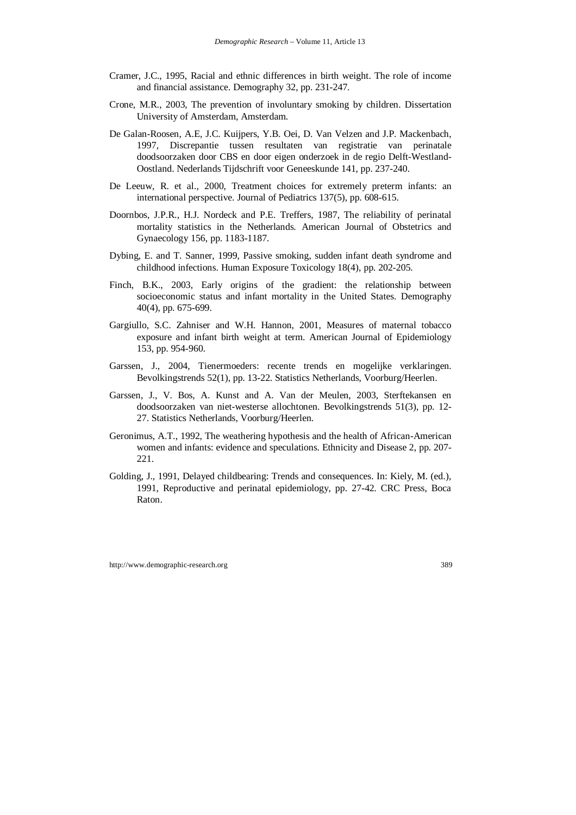- Cramer, J.C., 1995, Racial and ethnic differences in birth weight. The role of income and financial assistance. Demography 32, pp. 231-247.
- Crone, M.R., 2003, The prevention of involuntary smoking by children. Dissertation University of Amsterdam, Amsterdam.
- De Galan-Roosen, A.E, J.C. Kuijpers, Y.B. Oei, D. Van Velzen and J.P. Mackenbach, 1997, Discrepantie tussen resultaten van registratie van perinatale doodsoorzaken door CBS en door eigen onderzoek in de regio Delft-Westland-Oostland. Nederlands Tijdschrift voor Geneeskunde 141, pp. 237-240.
- De Leeuw, R. et al., 2000, Treatment choices for extremely preterm infants: an international perspective. Journal of Pediatrics 137(5), pp. 608-615.
- Doornbos, J.P.R., H.J. Nordeck and P.E. Treffers, 1987, The reliability of perinatal mortality statistics in the Netherlands. American Journal of Obstetrics and Gynaecology 156, pp. 1183-1187.
- Dybing, E. and T. Sanner, 1999, Passive smoking, sudden infant death syndrome and childhood infections. Human Exposure Toxicology 18(4), pp. 202-205.
- Finch, B.K., 2003, Early origins of the gradient: the relationship between socioeconomic status and infant mortality in the United States. Demography 40(4), pp. 675-699.
- Gargiullo, S.C. Zahniser and W.H. Hannon, 2001, Measures of maternal tobacco exposure and infant birth weight at term. American Journal of Epidemiology 153, pp. 954-960.
- Garssen, J., 2004, Tienermoeders: recente trends en mogelijke verklaringen. Bevolkingstrends 52(1), pp. 13-22. Statistics Netherlands, Voorburg/Heerlen.
- Garssen, J., V. Bos, A. Kunst and A. Van der Meulen, 2003, Sterftekansen en doodsoorzaken van niet-westerse allochtonen. Bevolkingstrends 51(3), pp. 12- 27. Statistics Netherlands, Voorburg/Heerlen.
- Geronimus, A.T., 1992, The weathering hypothesis and the health of African-American women and infants: evidence and speculations. Ethnicity and Disease 2, pp. 207- 221.
- Golding, J., 1991, Delayed childbearing: Trends and consequences. In: Kiely, M. (ed.), 1991, Reproductive and perinatal epidemiology, pp. 27-42. CRC Press, Boca Raton.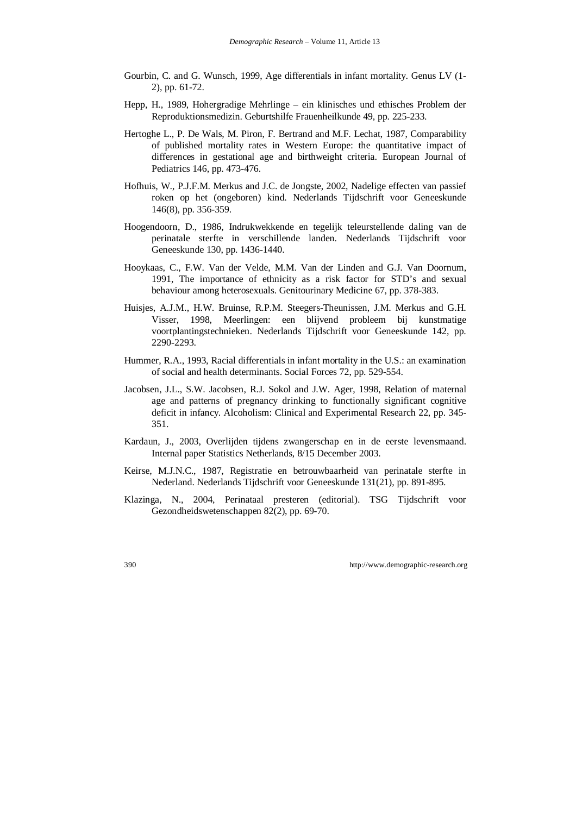- Gourbin, C. and G. Wunsch, 1999, Age differentials in infant mortality. Genus LV (1- 2), pp. 61-72.
- Hepp, H., 1989, Hohergradige Mehrlinge ein klinisches und ethisches Problem der Reproduktionsmedizin. Geburtshilfe Frauenheilkunde 49, pp. 225-233.
- Hertoghe L., P. De Wals, M. Piron, F. Bertrand and M.F. Lechat, 1987, Comparability of published mortality rates in Western Europe: the quantitative impact of differences in gestational age and birthweight criteria. European Journal of Pediatrics 146, pp. 473-476.
- Hofhuis, W., P.J.F.M. Merkus and J.C. de Jongste, 2002, Nadelige effecten van passief roken op het (ongeboren) kind. Nederlands Tijdschrift voor Geneeskunde 146(8), pp. 356-359.
- Hoogendoorn, D., 1986, Indrukwekkende en tegelijk teleurstellende daling van de perinatale sterfte in verschillende landen. Nederlands Tijdschrift voor Geneeskunde 130, pp. 1436-1440.
- Hooykaas, C., F.W. Van der Velde, M.M. Van der Linden and G.J. Van Doornum, 1991, The importance of ethnicity as a risk factor for STD's and sexual behaviour among heterosexuals. Genitourinary Medicine 67, pp. 378-383.
- Huisjes, A.J.M., H.W. Bruinse, R.P.M. Steegers-Theunissen, J.M. Merkus and G.H. Visser, 1998, Meerlingen: een blijvend probleem bij kunstmatige voortplantingstechnieken. Nederlands Tijdschrift voor Geneeskunde 142, pp. 2290-2293.
- Hummer, R.A., 1993, Racial differentials in infant mortality in the U.S.: an examination of social and health determinants. Social Forces 72, pp. 529-554.
- Jacobsen, J.L., S.W. Jacobsen, R.J. Sokol and J.W. Ager, 1998, Relation of maternal age and patterns of pregnancy drinking to functionally significant cognitive deficit in infancy. Alcoholism: Clinical and Experimental Research 22, pp. 345- 351.
- Kardaun, J., 2003, Overlijden tijdens zwangerschap en in de eerste levensmaand. Internal paper Statistics Netherlands, 8/15 December 2003.
- Keirse, M.J.N.C., 1987, Registratie en betrouwbaarheid van perinatale sterfte in Nederland. Nederlands Tijdschrift voor Geneeskunde 131(21), pp. 891-895.
- Klazinga, N., 2004, Perinataal presteren (editorial). TSG Tijdschrift voor Gezondheidswetenschappen 82(2), pp. 69-70.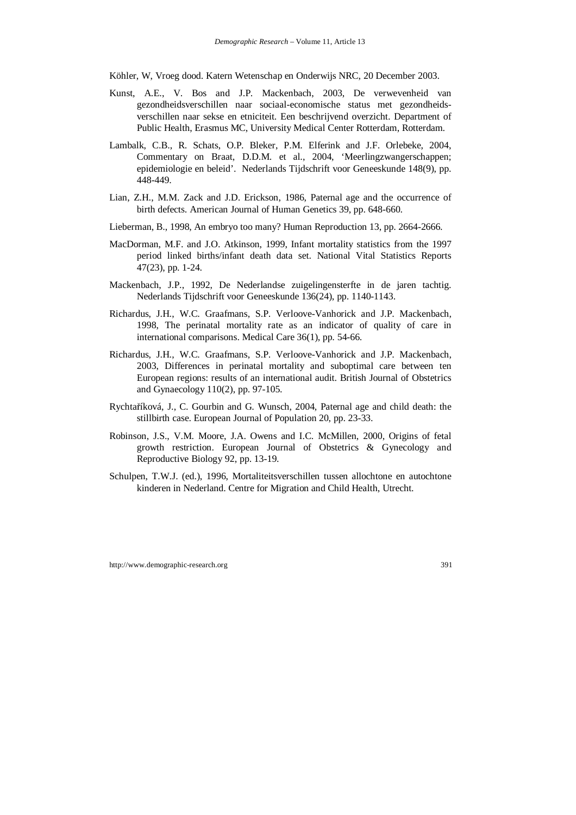Köhler, W, Vroeg dood. Katern Wetenschap en Onderwijs NRC, 20 December 2003.

- Kunst, A.E., V. Bos and J.P. Mackenbach, 2003, De verwevenheid van gezondheidsverschillen naar sociaal-economische status met gezondheidsverschillen naar sekse en etniciteit. Een beschrijvend overzicht. Department of Public Health, Erasmus MC, University Medical Center Rotterdam, Rotterdam.
- Lambalk, C.B., R. Schats, O.P. Bleker, P.M. Elferink and J.F. Orlebeke, 2004, Commentary on Braat, D.D.M. et al., 2004, 'Meerlingzwangerschappen; epidemiologie en beleid'. Nederlands Tijdschrift voor Geneeskunde 148(9), pp. 448-449.
- Lian, Z.H., M.M. Zack and J.D. Erickson, 1986, Paternal age and the occurrence of birth defects. American Journal of Human Genetics 39, pp. 648-660.
- Lieberman, B., 1998, An embryo too many? Human Reproduction 13, pp. 2664-2666.
- MacDorman, M.F. and J.O. Atkinson, 1999, Infant mortality statistics from the 1997 period linked births/infant death data set. National Vital Statistics Reports 47(23), pp. 1-24.
- Mackenbach, J.P., 1992, De Nederlandse zuigelingensterfte in de jaren tachtig. Nederlands Tijdschrift voor Geneeskunde 136(24), pp. 1140-1143.
- Richardus, J.H., W.C. Graafmans, S.P. Verloove-Vanhorick and J.P. Mackenbach, 1998, The perinatal mortality rate as an indicator of quality of care in international comparisons. Medical Care 36(1), pp. 54-66.
- Richardus, J.H., W.C. Graafmans, S.P. Verloove-Vanhorick and J.P. Mackenbach, 2003, Differences in perinatal mortality and suboptimal care between ten European regions: results of an international audit. British Journal of Obstetrics and Gynaecology 110(2), pp. 97-105.
- Rychtaříková, J., C. Gourbin and G. Wunsch, 2004, Paternal age and child death: the stillbirth case. European Journal of Population 20, pp. 23-33.
- Robinson, J.S., V.M. Moore, J.A. Owens and I.C. McMillen, 2000, Origins of fetal growth restriction. European Journal of Obstetrics & Gynecology and Reproductive Biology 92, pp. 13-19.
- Schulpen, T.W.J. (ed.), 1996, Mortaliteitsverschillen tussen allochtone en autochtone kinderen in Nederland. Centre for Migration and Child Health, Utrecht.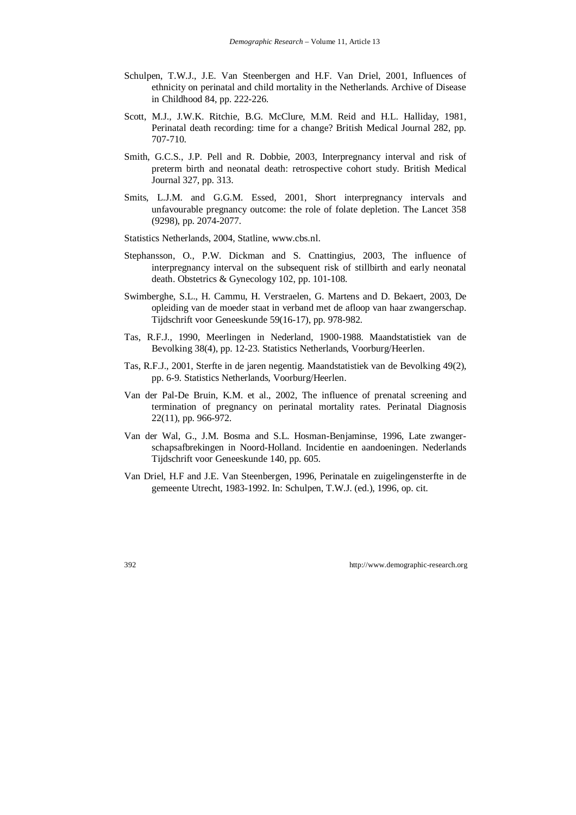- Schulpen, T.W.J., J.E. Van Steenbergen and H.F. Van Driel, 2001, Influences of ethnicity on perinatal and child mortality in the Netherlands. Archive of Disease in Childhood 84, pp. 222-226.
- Scott, M.J., J.W.K. Ritchie, B.G. McClure, M.M. Reid and H.L. Halliday, 1981, Perinatal death recording: time for a change? British Medical Journal 282, pp. 707-710.
- Smith, G.C.S., J.P. Pell and R. Dobbie, 2003, Interpregnancy interval and risk of preterm birth and neonatal death: retrospective cohort study. British Medical Journal 327, pp. 313.
- Smits, L.J.M. and G.G.M. Essed, 2001, Short interpregnancy intervals and unfavourable pregnancy outcome: the role of folate depletion. The Lancet 358 (9298), pp. 2074-2077.
- Statistics Netherlands, 2004, Statline, www.cbs.nl.
- Stephansson, O., P.W. Dickman and S. Cnattingius, 2003, The influence of interpregnancy interval on the subsequent risk of stillbirth and early neonatal death. Obstetrics & Gynecology 102, pp. 101-108.
- Swimberghe, S.L., H. Cammu, H. Verstraelen, G. Martens and D. Bekaert, 2003, De opleiding van de moeder staat in verband met de afloop van haar zwangerschap. Tijdschrift voor Geneeskunde 59(16-17), pp. 978-982.
- Tas, R.F.J., 1990, Meerlingen in Nederland, 1900-1988. Maandstatistiek van de Bevolking 38(4), pp. 12-23. Statistics Netherlands, Voorburg/Heerlen.
- Tas, R.F.J., 2001, Sterfte in de jaren negentig. Maandstatistiek van de Bevolking 49(2), pp. 6-9. Statistics Netherlands, Voorburg/Heerlen.
- Van der Pal-De Bruin, K.M. et al., 2002, The influence of prenatal screening and termination of pregnancy on perinatal mortality rates. Perinatal Diagnosis 22(11), pp. 966-972.
- Van der Wal, G., J.M. Bosma and S.L. Hosman-Benjaminse, 1996, Late zwangerschapsafbrekingen in Noord-Holland. Incidentie en aandoeningen. Nederlands Tijdschrift voor Geneeskunde 140, pp. 605.
- Van Driel, H.F and J.E. Van Steenbergen, 1996, Perinatale en zuigelingensterfte in de gemeente Utrecht, 1983-1992. In: Schulpen, T.W.J. (ed.), 1996, op. cit.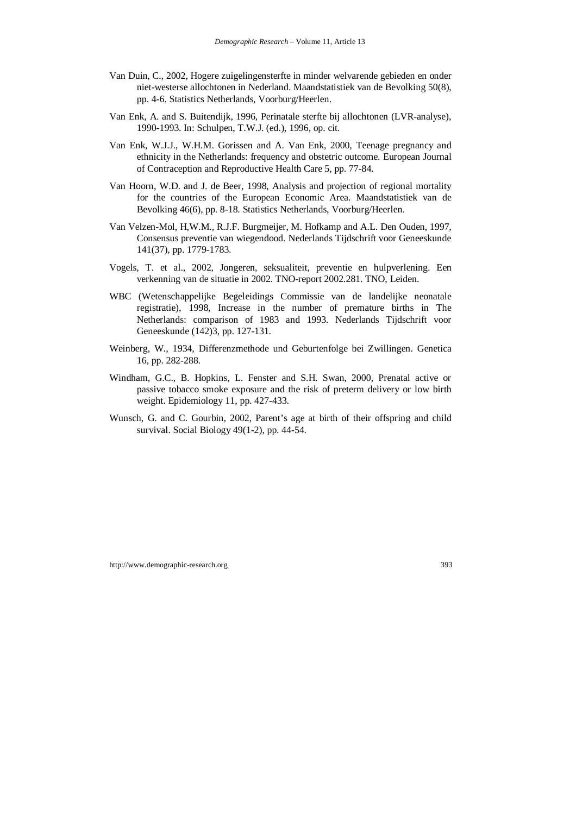- Van Duin, C., 2002, Hogere zuigelingensterfte in minder welvarende gebieden en onder niet-westerse allochtonen in Nederland. Maandstatistiek van de Bevolking 50(8), pp. 4-6. Statistics Netherlands, Voorburg/Heerlen.
- Van Enk, A. and S. Buitendijk, 1996, Perinatale sterfte bij allochtonen (LVR-analyse), 1990-1993. In: Schulpen, T.W.J. (ed.), 1996, op. cit.
- Van Enk, W.J.J., W.H.M. Gorissen and A. Van Enk, 2000, Teenage pregnancy and ethnicity in the Netherlands: frequency and obstetric outcome. European Journal of Contraception and Reproductive Health Care 5, pp. 77-84.
- Van Hoorn, W.D. and J. de Beer, 1998, Analysis and projection of regional mortality for the countries of the European Economic Area. Maandstatistiek van de Bevolking 46(6), pp. 8-18. Statistics Netherlands, Voorburg/Heerlen.
- Van Velzen-Mol, H,W.M., R.J.F. Burgmeijer, M. Hofkamp and A.L. Den Ouden, 1997, Consensus preventie van wiegendood. Nederlands Tijdschrift voor Geneeskunde 141(37), pp. 1779-1783.
- Vogels, T. et al., 2002, Jongeren, seksualiteit, preventie en hulpverlening. Een verkenning van de situatie in 2002. TNO-report 2002.281. TNO, Leiden.
- WBC (Wetenschappelijke Begeleidings Commissie van de landelijke neonatale registratie), 1998, Increase in the number of premature births in The Netherlands: comparison of 1983 and 1993. Nederlands Tijdschrift voor Geneeskunde (142)3, pp. 127-131.
- Weinberg, W., 1934, Differenzmethode und Geburtenfolge bei Zwillingen. Genetica 16, pp. 282-288.
- Windham, G.C., B. Hopkins, L. Fenster and S.H. Swan, 2000, Prenatal active or passive tobacco smoke exposure and the risk of preterm delivery or low birth weight. Epidemiology 11, pp. 427-433.
- Wunsch, G. and C. Gourbin, 2002, Parent's age at birth of their offspring and child survival. Social Biology 49(1-2), pp. 44-54.